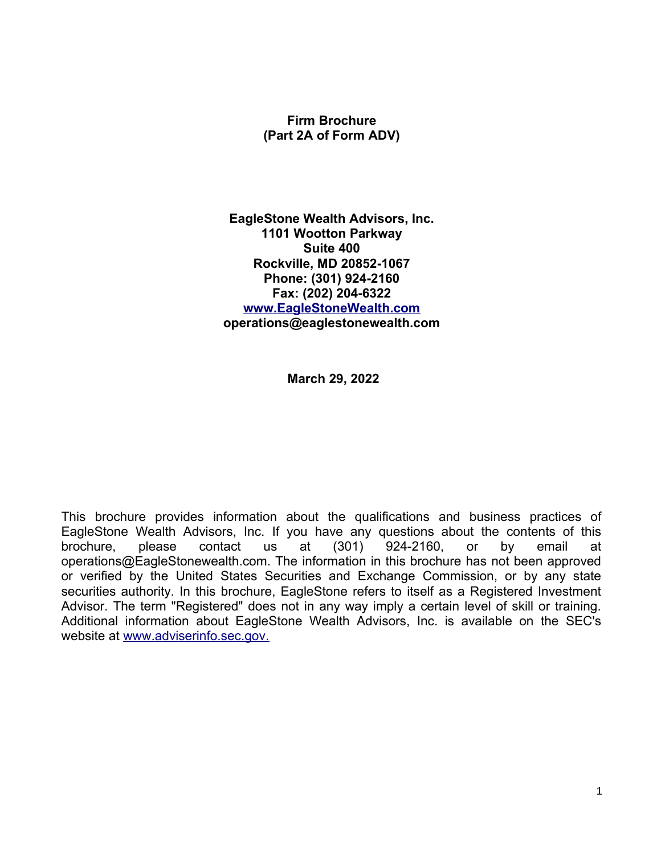## **Firm Brochure (Part 2A of Form ADV)**

**EagleStone Wealth Advisors, Inc. 1101 Wootton Parkway Suite 400 Rockville, MD 20852-1067 Phone: (301) 924-2160 Fax: (202) 204-6322 [www.EagleStoneWealth.com](http://www.EagleStoneWealth.com/) operations@eaglestonewealth.com**

**March 29, 2022**

This brochure provides information about the qualifications and business practices of EagleStone Wealth Advisors, Inc. If you have any questions about the contents of this brochure, please contact us at (301) 924-2160, or by email at operations@EagleStonewealth.com. The information in this brochure has not been approved or verified by the United States Securities and Exchange Commission, or by any state securities authority. In this brochure, EagleStone refers to itself as a Registered Investment Advisor. The term "Registered" does not in any way imply a certain level of skill or training. Additional information about EagleStone Wealth Advisors, Inc. is available on the SEC's website at [www.adviserinfo.sec.gov.](http://www.adviserinfo.sec.gov./)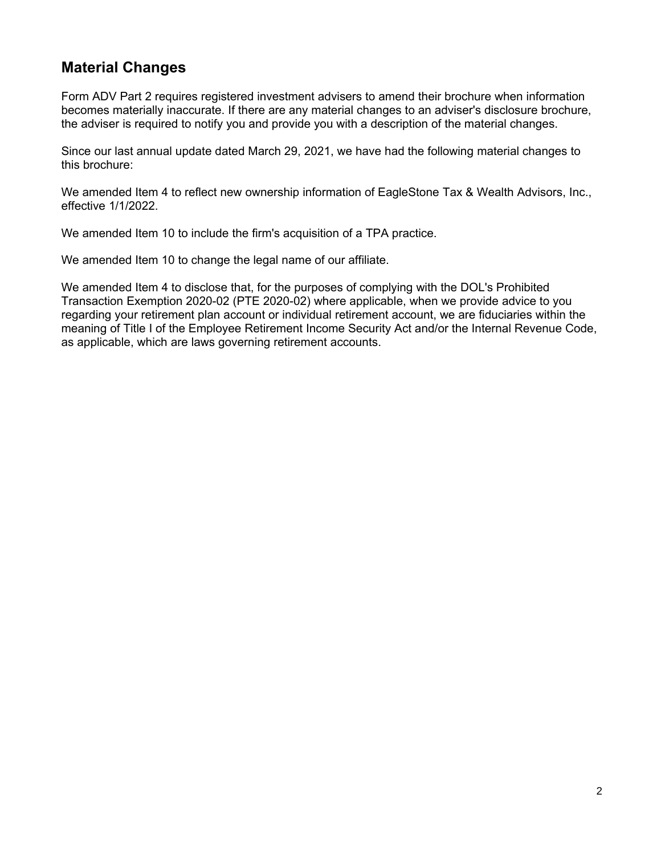## **Material Changes**

Form ADV Part 2 requires registered investment advisers to amend their brochure when information becomes materially inaccurate. If there are any material changes to an adviser's disclosure brochure, the adviser is required to notify you and provide you with a description of the material changes.

Since our last annual update dated March 29, 2021, we have had the following material changes to this brochure:

We amended Item 4 to reflect new ownership information of EagleStone Tax & Wealth Advisors, Inc., effective 1/1/2022.

We amended Item 10 to include the firm's acquisition of a TPA practice.

We amended Item 10 to change the legal name of our affiliate.

We amended Item 4 to disclose that, for the purposes of complying with the DOL's Prohibited Transaction Exemption 2020-02 (PTE 2020-02) where applicable, when we provide advice to you regarding your retirement plan account or individual retirement account, we are fiduciaries within the meaning of Title I of the Employee Retirement Income Security Act and/or the Internal Revenue Code, as applicable, which are laws governing retirement accounts.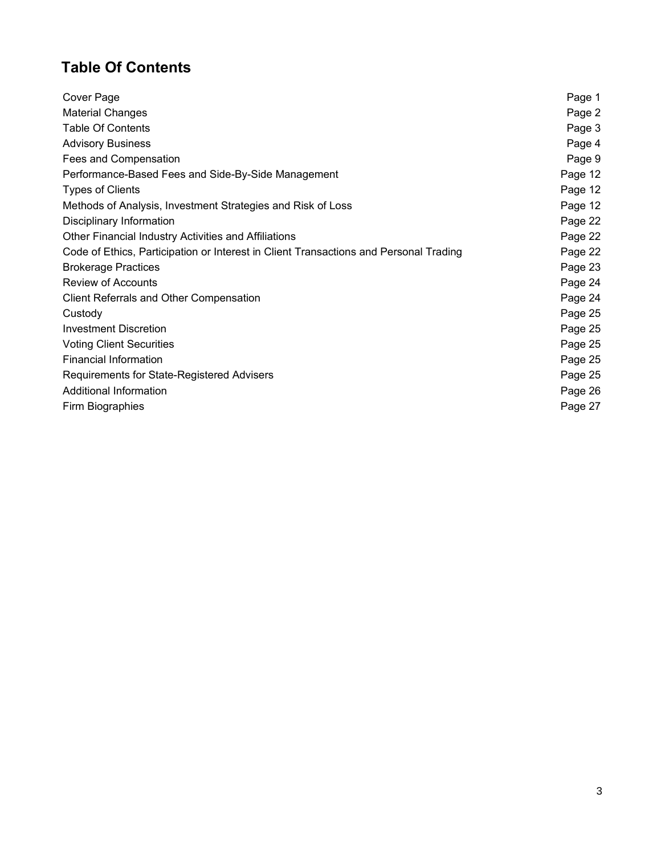# **Table Of Contents**

| Cover Page                                                                            | Page 1  |
|---------------------------------------------------------------------------------------|---------|
| <b>Material Changes</b>                                                               | Page 2  |
| <b>Table Of Contents</b>                                                              | Page 3  |
| <b>Advisory Business</b>                                                              | Page 4  |
| Fees and Compensation                                                                 | Page 9  |
| Performance-Based Fees and Side-By-Side Management                                    | Page 12 |
| <b>Types of Clients</b>                                                               | Page 12 |
| Methods of Analysis, Investment Strategies and Risk of Loss                           | Page 12 |
| Disciplinary Information                                                              | Page 22 |
| Other Financial Industry Activities and Affiliations                                  | Page 22 |
| Code of Ethics, Participation or Interest in Client Transactions and Personal Trading | Page 22 |
| <b>Brokerage Practices</b>                                                            | Page 23 |
| <b>Review of Accounts</b>                                                             | Page 24 |
| Client Referrals and Other Compensation                                               | Page 24 |
| Custody                                                                               | Page 25 |
| <b>Investment Discretion</b>                                                          | Page 25 |
| <b>Voting Client Securities</b>                                                       | Page 25 |
| <b>Financial Information</b>                                                          | Page 25 |
| Requirements for State-Registered Advisers                                            | Page 25 |
| Additional Information                                                                | Page 26 |
| Firm Biographies                                                                      | Page 27 |
|                                                                                       |         |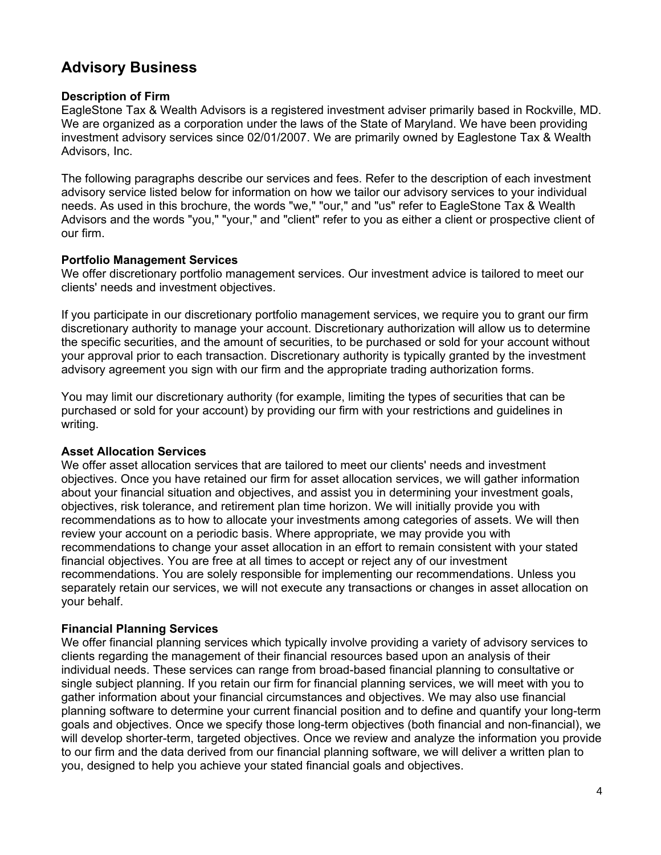## **Advisory Business**

### **Description of Firm**

EagleStone Tax & Wealth Advisors is a registered investment adviser primarily based in Rockville, MD. We are organized as a corporation under the laws of the State of Maryland. We have been providing investment advisory services since 02/01/2007. We are primarily owned by Eaglestone Tax & Wealth Advisors, Inc.

The following paragraphs describe our services and fees. Refer to the description of each investment advisory service listed below for information on how we tailor our advisory services to your individual needs. As used in this brochure, the words "we," "our," and "us" refer to EagleStone Tax & Wealth Advisors and the words "you," "your," and "client" refer to you as either a client or prospective client of our firm.

## **Portfolio Management Services**

We offer discretionary portfolio management services. Our investment advice is tailored to meet our clients' needs and investment objectives.

If you participate in our discretionary portfolio management services, we require you to grant our firm discretionary authority to manage your account. Discretionary authorization will allow us to determine the specific securities, and the amount of securities, to be purchased or sold for your account without your approval prior to each transaction. Discretionary authority is typically granted by the investment advisory agreement you sign with our firm and the appropriate trading authorization forms.

You may limit our discretionary authority (for example, limiting the types of securities that can be purchased or sold for your account) by providing our firm with your restrictions and guidelines in writing.

### **Asset Allocation Services**

We offer asset allocation services that are tailored to meet our clients' needs and investment objectives. Once you have retained our firm for asset allocation services, we will gather information about your financial situation and objectives, and assist you in determining your investment goals, objectives, risk tolerance, and retirement plan time horizon. We will initially provide you with recommendations as to how to allocate your investments among categories of assets. We will then review your account on a periodic basis. Where appropriate, we may provide you with recommendations to change your asset allocation in an effort to remain consistent with your stated financial objectives. You are free at all times to accept or reject any of our investment recommendations. You are solely responsible for implementing our recommendations. Unless you separately retain our services, we will not execute any transactions or changes in asset allocation on your behalf.

## **Financial Planning Services**

We offer financial planning services which typically involve providing a variety of advisory services to clients regarding the management of their financial resources based upon an analysis of their individual needs. These services can range from broad-based financial planning to consultative or single subject planning. If you retain our firm for financial planning services, we will meet with you to gather information about your financial circumstances and objectives. We may also use financial planning software to determine your current financial position and to define and quantify your long-term goals and objectives. Once we specify those long-term objectives (both financial and non-financial), we will develop shorter-term, targeted objectives. Once we review and analyze the information you provide to our firm and the data derived from our financial planning software, we will deliver a written plan to you, designed to help you achieve your stated financial goals and objectives.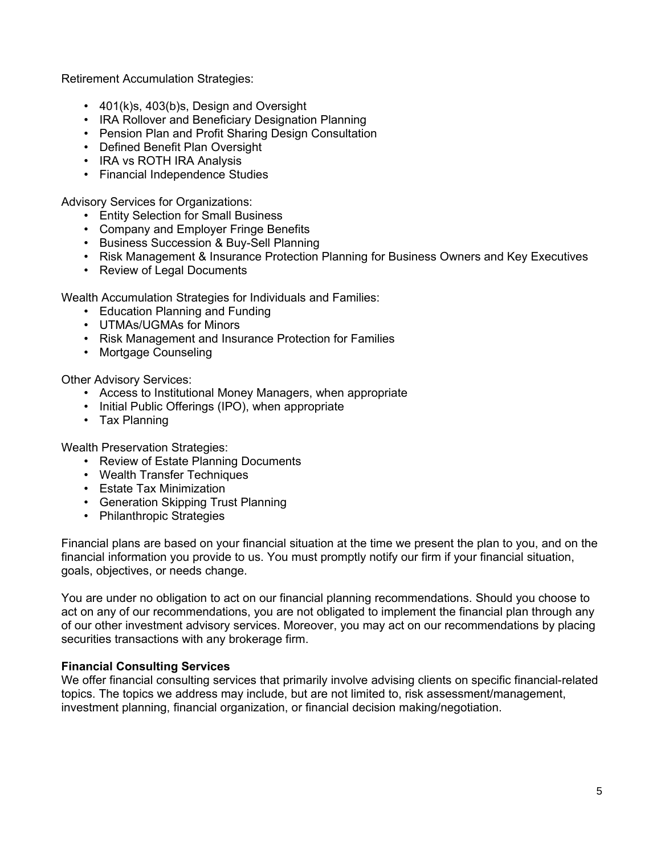Retirement Accumulation Strategies:

- 401(k)s, 403(b)s, Design and Oversight
- IRA Rollover and Beneficiary Designation Planning
- Pension Plan and Profit Sharing Design Consultation
- Defined Benefit Plan Oversight
- IRA vs ROTH IRA Analysis
- Financial Independence Studies

Advisory Services for Organizations:

- Entity Selection for Small Business
- Company and Employer Fringe Benefits
- Business Succession & Buy-Sell Planning
- Risk Management & Insurance Protection Planning for Business Owners and Key Executives
- Review of Legal Documents

Wealth Accumulation Strategies for Individuals and Families:

- Education Planning and Funding
- UTMAs/UGMAs for Minors
- Risk Management and Insurance Protection for Families
- Mortgage Counseling

Other Advisory Services:

- Access to Institutional Money Managers, when appropriate
- Initial Public Offerings (IPO), when appropriate
- Tax Planning

Wealth Preservation Strategies:

- Review of Estate Planning Documents
- Wealth Transfer Techniques
- Estate Tax Minimization
- Generation Skipping Trust Planning
- Philanthropic Strategies

Financial plans are based on your financial situation at the time we present the plan to you, and on the financial information you provide to us. You must promptly notify our firm if your financial situation, goals, objectives, or needs change.

You are under no obligation to act on our financial planning recommendations. Should you choose to act on any of our recommendations, you are not obligated to implement the financial plan through any of our other investment advisory services. Moreover, you may act on our recommendations by placing securities transactions with any brokerage firm.

### **Financial Consulting Services**

We offer financial consulting services that primarily involve advising clients on specific financial-related topics. The topics we address may include, but are not limited to, risk assessment/management, investment planning, financial organization, or financial decision making/negotiation.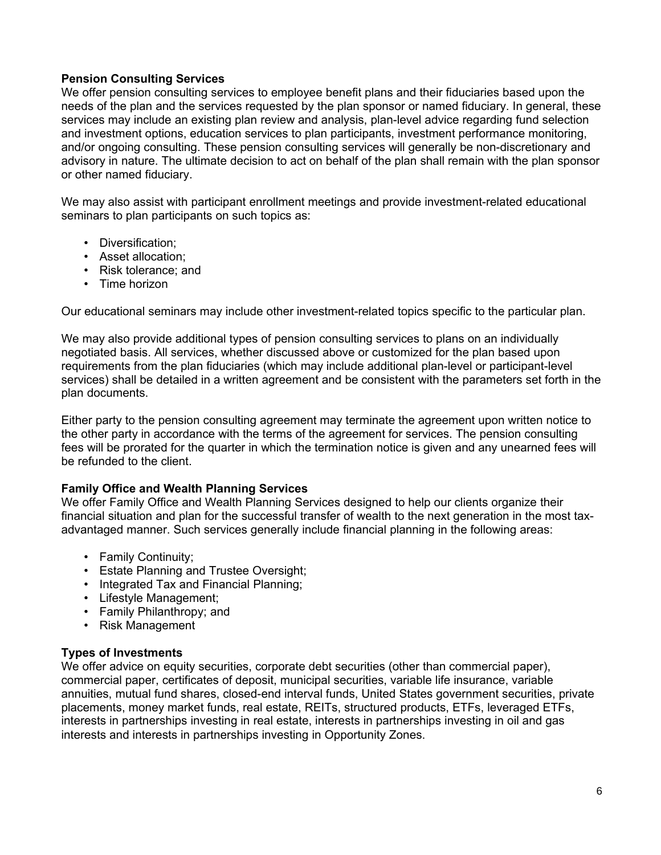### **Pension Consulting Services**

We offer pension consulting services to employee benefit plans and their fiduciaries based upon the needs of the plan and the services requested by the plan sponsor or named fiduciary. In general, these services may include an existing plan review and analysis, plan-level advice regarding fund selection and investment options, education services to plan participants, investment performance monitoring, and/or ongoing consulting. These pension consulting services will generally be non-discretionary and advisory in nature. The ultimate decision to act on behalf of the plan shall remain with the plan sponsor or other named fiduciary.

We may also assist with participant enrollment meetings and provide investment-related educational seminars to plan participants on such topics as:

- Diversification;
- Asset allocation;
- Risk tolerance; and
- Time horizon

Our educational seminars may include other investment-related topics specific to the particular plan.

We may also provide additional types of pension consulting services to plans on an individually negotiated basis. All services, whether discussed above or customized for the plan based upon requirements from the plan fiduciaries (which may include additional plan-level or participant-level services) shall be detailed in a written agreement and be consistent with the parameters set forth in the plan documents.

Either party to the pension consulting agreement may terminate the agreement upon written notice to the other party in accordance with the terms of the agreement for services. The pension consulting fees will be prorated for the quarter in which the termination notice is given and any unearned fees will be refunded to the client.

### **Family Office and Wealth Planning Services**

We offer Family Office and Wealth Planning Services designed to help our clients organize their financial situation and plan for the successful transfer of wealth to the next generation in the most taxadvantaged manner. Such services generally include financial planning in the following areas:

- Family Continuity;
- Estate Planning and Trustee Oversight;
- Integrated Tax and Financial Planning;
- Lifestyle Management;
- Family Philanthropy; and
- Risk Management

### **Types of Investments**

We offer advice on equity securities, corporate debt securities (other than commercial paper), commercial paper, certificates of deposit, municipal securities, variable life insurance, variable annuities, mutual fund shares, closed-end interval funds, United States government securities, private placements, money market funds, real estate, REITs, structured products, ETFs, leveraged ETFs, interests in partnerships investing in real estate, interests in partnerships investing in oil and gas interests and interests in partnerships investing in Opportunity Zones.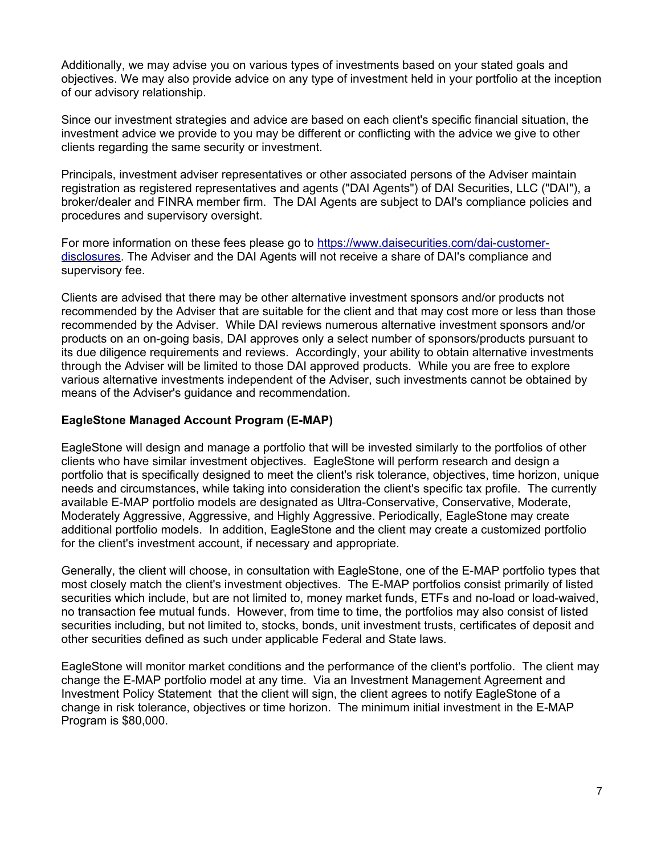Additionally, we may advise you on various types of investments based on your stated goals and objectives. We may also provide advice on any type of investment held in your portfolio at the inception of our advisory relationship.

Since our investment strategies and advice are based on each client's specific financial situation, the investment advice we provide to you may be different or conflicting with the advice we give to other clients regarding the same security or investment.

Principals, investment adviser representatives or other associated persons of the Adviser maintain registration as registered representatives and agents ("DAI Agents") of DAI Securities, LLC ("DAI"), a broker/dealer and FINRA member firm. The DAI Agents are subject to DAI's compliance policies and procedures and supervisory oversight.

For more information on these fees please go to [https://www.daisecurities.com/dai-customer](https://www.daisecurities.com/dai-customer-disclosures)[disclosures.](https://www.daisecurities.com/dai-customer-disclosures) The Adviser and the DAI Agents will not receive a share of DAI's compliance and supervisory fee.

Clients are advised that there may be other alternative investment sponsors and/or products not recommended by the Adviser that are suitable for the client and that may cost more or less than those recommended by the Adviser. While DAI reviews numerous alternative investment sponsors and/or products on an on-going basis, DAI approves only a select number of sponsors/products pursuant to its due diligence requirements and reviews. Accordingly, your ability to obtain alternative investments through the Adviser will be limited to those DAI approved products. While you are free to explore various alternative investments independent of the Adviser, such investments cannot be obtained by means of the Adviser's guidance and recommendation.

#### **EagleStone Managed Account Program (E-MAP)**

EagleStone will design and manage a portfolio that will be invested similarly to the portfolios of other clients who have similar investment objectives. EagleStone will perform research and design a portfolio that is specifically designed to meet the client's risk tolerance, objectives, time horizon, unique needs and circumstances, while taking into consideration the client's specific tax profile. The currently available E-MAP portfolio models are designated as Ultra-Conservative, Conservative, Moderate, Moderately Aggressive, Aggressive, and Highly Aggressive. Periodically, EagleStone may create additional portfolio models. In addition, EagleStone and the client may create a customized portfolio for the client's investment account, if necessary and appropriate.

Generally, the client will choose, in consultation with EagleStone, one of the E-MAP portfolio types that most closely match the client's investment objectives. The E-MAP portfolios consist primarily of listed securities which include, but are not limited to, money market funds, ETFs and no-load or load-waived, no transaction fee mutual funds. However, from time to time, the portfolios may also consist of listed securities including, but not limited to, stocks, bonds, unit investment trusts, certificates of deposit and other securities defined as such under applicable Federal and State laws.

EagleStone will monitor market conditions and the performance of the client's portfolio. The client may change the E-MAP portfolio model at any time. Via an Investment Management Agreement and Investment Policy Statement that the client will sign, the client agrees to notify EagleStone of a change in risk tolerance, objectives or time horizon. The minimum initial investment in the E-MAP Program is \$80,000.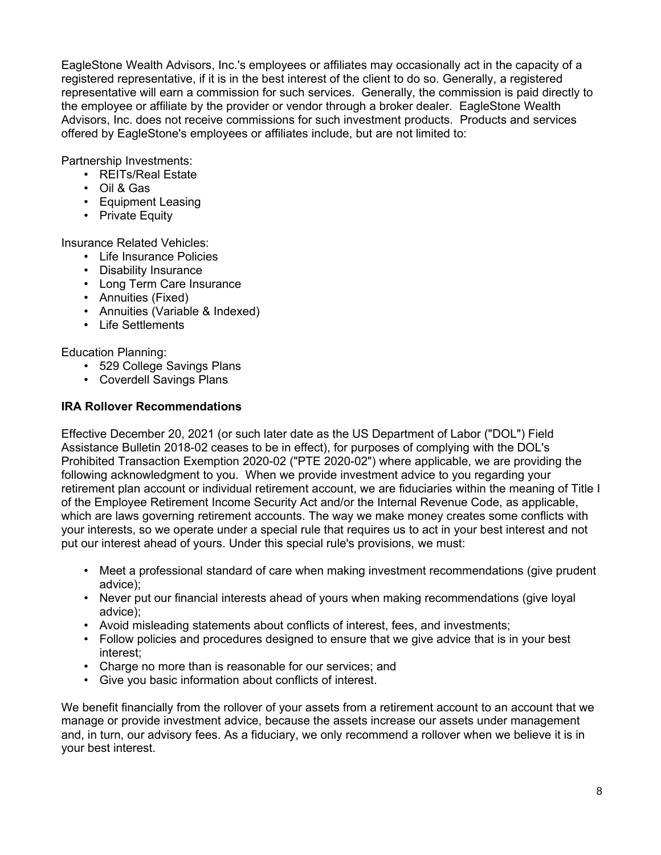EagleStone Wealth Advisors, Inc.'s employees or affiliates may occasionally act in the capacity of a registered representative, if it is in the best interest of the client to do so. Generally, a registered representative will earn a commission for such services. Generally, the commission is paid directly to the employee or affiliate by the provider or vendor through a broker dealer. EagleStone Wealth Advisors, Inc. does not receive commissions for such investment products. Products and services offered by EagleStone's employees or affiliates include, but are not limited to:

Partnership Investments:

- REITs/Real Estate
- Oil & Gas
- Equipment Leasing
- Private Equity

Insurance Related Vehicles:

- Life Insurance Policies
- Disability Insurance
- Long Term Care Insurance
- Annuities (Fixed)
- Annuities (Variable & Indexed)
- Life Settlements

## Education Planning:

- 529 College Savings Plans
- Coverdell Savings Plans

## **IRA Rollover Recommendations**

Effective December 20, 2021 (or such later date as the US Department of Labor ("DOL") Field Assistance Bulletin 2018-02 ceases to be in effect), for purposes of complying with the DOL's Prohibited Transaction Exemption 2020-02 ("PTE 2020-02") where applicable, we are providing the following acknowledgment to you. When we provide investment advice to you regarding your retirement plan account or individual retirement account, we are fiduciaries within the meaning of Title I of the Employee Retirement Income Security Act and/or the Internal Revenue Code, as applicable, which are laws governing retirement accounts. The way we make money creates some conflicts with your interests, so we operate under a special rule that requires us to act in your best interest and not put our interest ahead of yours. Under this special rule's provisions, we must:

- Meet a professional standard of care when making investment recommendations (give prudent advice);
- Never put our financial interests ahead of yours when making recommendations (give loyal advice);
- Avoid misleading statements about conflicts of interest, fees, and investments;
- Follow policies and procedures designed to ensure that we give advice that is in your best interest;
- Charge no more than is reasonable for our services; and
- Give you basic information about conflicts of interest.

We benefit financially from the rollover of your assets from a retirement account to an account that we manage or provide investment advice, because the assets increase our assets under management and, in turn, our advisory fees. As a fiduciary, we only recommend a rollover when we believe it is in your best interest.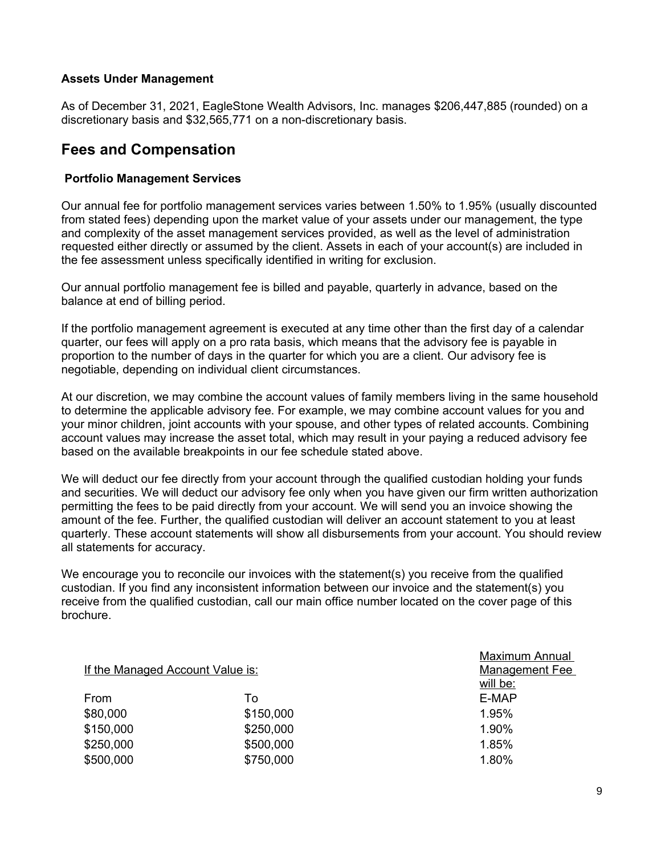### **Assets Under Management**

As of December 31, 2021, EagleStone Wealth Advisors, Inc. manages \$206,447,885 (rounded) on a discretionary basis and \$32,565,771 on a non-discretionary basis.

## **Fees and Compensation**

#### **Portfolio Management Services**

Our annual fee for portfolio management services varies between 1.50% to 1.95% (usually discounted from stated fees) depending upon the market value of your assets under our management, the type and complexity of the asset management services provided, as well as the level of administration requested either directly or assumed by the client. Assets in each of your account(s) are included in the fee assessment unless specifically identified in writing for exclusion.

Our annual portfolio management fee is billed and payable, quarterly in advance, based on the balance at end of billing period.

If the portfolio management agreement is executed at any time other than the first day of a calendar quarter, our fees will apply on a pro rata basis, which means that the advisory fee is payable in proportion to the number of days in the quarter for which you are a client. Our advisory fee is negotiable, depending on individual client circumstances.

At our discretion, we may combine the account values of family members living in the same household to determine the applicable advisory fee. For example, we may combine account values for you and your minor children, joint accounts with your spouse, and other types of related accounts. Combining account values may increase the asset total, which may result in your paying a reduced advisory fee based on the available breakpoints in our fee schedule stated above.

We will deduct our fee directly from your account through the qualified custodian holding your funds and securities. We will deduct our advisory fee only when you have given our firm written authorization permitting the fees to be paid directly from your account. We will send you an invoice showing the amount of the fee. Further, the qualified custodian will deliver an account statement to you at least quarterly. These account statements will show all disbursements from your account. You should review all statements for accuracy.

We encourage you to reconcile our invoices with the statement(s) you receive from the qualified custodian. If you find any inconsistent information between our invoice and the statement(s) you receive from the qualified custodian, call our main office number located on the cover page of this brochure.

| If the Managed Account Value is: |           | <u>MAXILIUITI AHIJUAI</u><br><b>Management Fee</b><br>will be: |
|----------------------------------|-----------|----------------------------------------------------------------|
| From                             | To        | E-MAP                                                          |
| \$80,000                         | \$150,000 | 1.95%                                                          |
| \$150,000                        | \$250,000 | 1.90%                                                          |
| \$250,000                        | \$500,000 | 1.85%                                                          |
| \$500,000                        | \$750,000 | 1.80%                                                          |
|                                  |           |                                                                |

Maximum Annual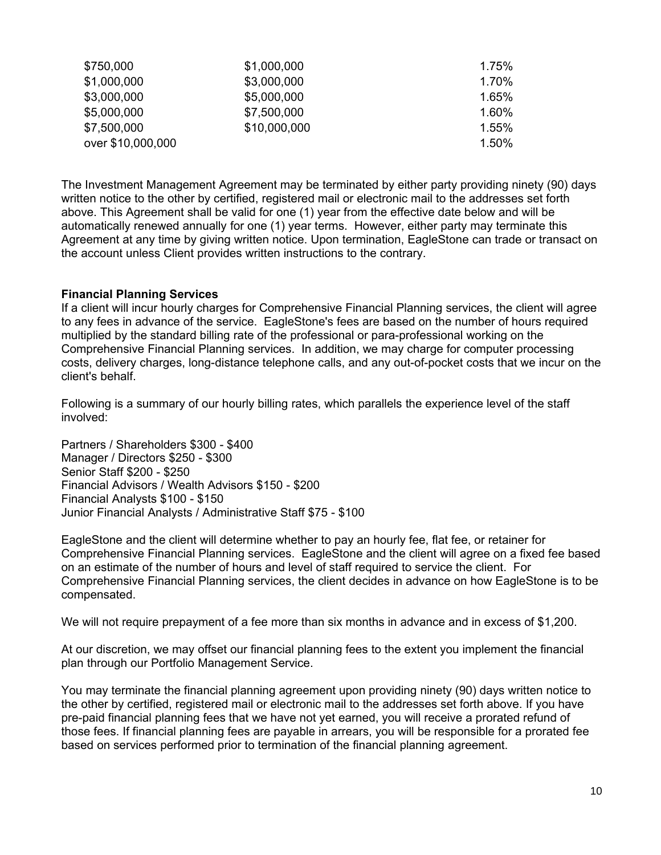| \$750,000         | \$1,000,000  | 1.75%    |
|-------------------|--------------|----------|
| \$1,000,000       | \$3,000,000  | 1.70%    |
| \$3,000,000       | \$5,000,000  | 1.65%    |
| \$5,000,000       | \$7,500,000  | 1.60%    |
| \$7,500,000       | \$10,000,000 | $1.55\%$ |
| over \$10,000,000 |              | $1.50\%$ |

The Investment Management Agreement may be terminated by either party providing ninety (90) days written notice to the other by certified, registered mail or electronic mail to the addresses set forth above. This Agreement shall be valid for one (1) year from the effective date below and will be automatically renewed annually for one (1) year terms. However, either party may terminate this Agreement at any time by giving written notice. Upon termination, EagleStone can trade or transact on the account unless Client provides written instructions to the contrary.

#### **Financial Planning Services**

If a client will incur hourly charges for Comprehensive Financial Planning services, the client will agree to any fees in advance of the service. EagleStone's fees are based on the number of hours required multiplied by the standard billing rate of the professional or para-professional working on the Comprehensive Financial Planning services. In addition, we may charge for computer processing costs, delivery charges, long-distance telephone calls, and any out-of-pocket costs that we incur on the client's behalf.

Following is a summary of our hourly billing rates, which parallels the experience level of the staff involved:

Partners / Shareholders \$300 - \$400 Manager / Directors \$250 - \$300 Senior Staff \$200 - \$250 Financial Advisors / Wealth Advisors \$150 - \$200 Financial Analysts \$100 - \$150 Junior Financial Analysts / Administrative Staff \$75 - \$100

EagleStone and the client will determine whether to pay an hourly fee, flat fee, or retainer for Comprehensive Financial Planning services. EagleStone and the client will agree on a fixed fee based on an estimate of the number of hours and level of staff required to service the client. For Comprehensive Financial Planning services, the client decides in advance on how EagleStone is to be compensated.

We will not require prepayment of a fee more than six months in advance and in excess of \$1,200.

At our discretion, we may offset our financial planning fees to the extent you implement the financial plan through our Portfolio Management Service.

You may terminate the financial planning agreement upon providing ninety (90) days written notice to the other by certified, registered mail or electronic mail to the addresses set forth above. If you have pre-paid financial planning fees that we have not yet earned, you will receive a prorated refund of those fees. If financial planning fees are payable in arrears, you will be responsible for a prorated fee based on services performed prior to termination of the financial planning agreement.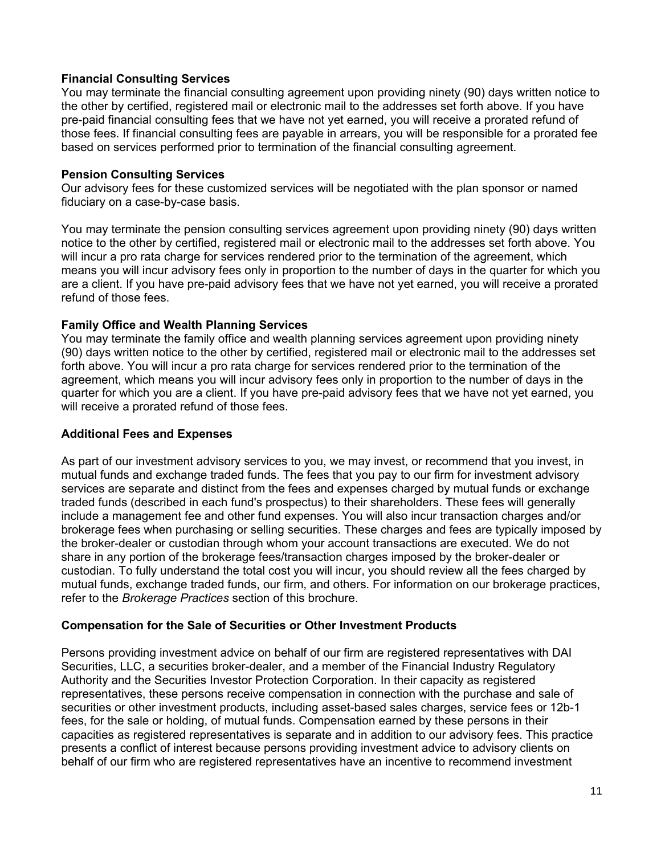### **Financial Consulting Services**

You may terminate the financial consulting agreement upon providing ninety (90) days written notice to the other by certified, registered mail or electronic mail to the addresses set forth above. If you have pre-paid financial consulting fees that we have not yet earned, you will receive a prorated refund of those fees. If financial consulting fees are payable in arrears, you will be responsible for a prorated fee based on services performed prior to termination of the financial consulting agreement.

### **Pension Consulting Services**

Our advisory fees for these customized services will be negotiated with the plan sponsor or named fiduciary on a case-by-case basis.

You may terminate the pension consulting services agreement upon providing ninety (90) days written notice to the other by certified, registered mail or electronic mail to the addresses set forth above. You will incur a pro rata charge for services rendered prior to the termination of the agreement, which means you will incur advisory fees only in proportion to the number of days in the quarter for which you are a client. If you have pre-paid advisory fees that we have not yet earned, you will receive a prorated refund of those fees.

## **Family Office and Wealth Planning Services**

You may terminate the family office and wealth planning services agreement upon providing ninety (90) days written notice to the other by certified, registered mail or electronic mail to the addresses set forth above. You will incur a pro rata charge for services rendered prior to the termination of the agreement, which means you will incur advisory fees only in proportion to the number of days in the quarter for which you are a client. If you have pre-paid advisory fees that we have not yet earned, you will receive a prorated refund of those fees.

### **Additional Fees and Expenses**

As part of our investment advisory services to you, we may invest, or recommend that you invest, in mutual funds and exchange traded funds. The fees that you pay to our firm for investment advisory services are separate and distinct from the fees and expenses charged by mutual funds or exchange traded funds (described in each fund's prospectus) to their shareholders. These fees will generally include a management fee and other fund expenses. You will also incur transaction charges and/or brokerage fees when purchasing or selling securities. These charges and fees are typically imposed by the broker-dealer or custodian through whom your account transactions are executed. We do not share in any portion of the brokerage fees/transaction charges imposed by the broker-dealer or custodian. To fully understand the total cost you will incur, you should review all the fees charged by mutual funds, exchange traded funds, our firm, and others. For information on our brokerage practices, refer to the *Brokerage Practices* section of this brochure.

### **Compensation for the Sale of Securities or Other Investment Products**

Persons providing investment advice on behalf of our firm are registered representatives with DAI Securities, LLC, a securities broker-dealer, and a member of the Financial Industry Regulatory Authority and the Securities Investor Protection Corporation. In their capacity as registered representatives, these persons receive compensation in connection with the purchase and sale of securities or other investment products, including asset-based sales charges, service fees or 12b-1 fees, for the sale or holding, of mutual funds. Compensation earned by these persons in their capacities as registered representatives is separate and in addition to our advisory fees. This practice presents a conflict of interest because persons providing investment advice to advisory clients on behalf of our firm who are registered representatives have an incentive to recommend investment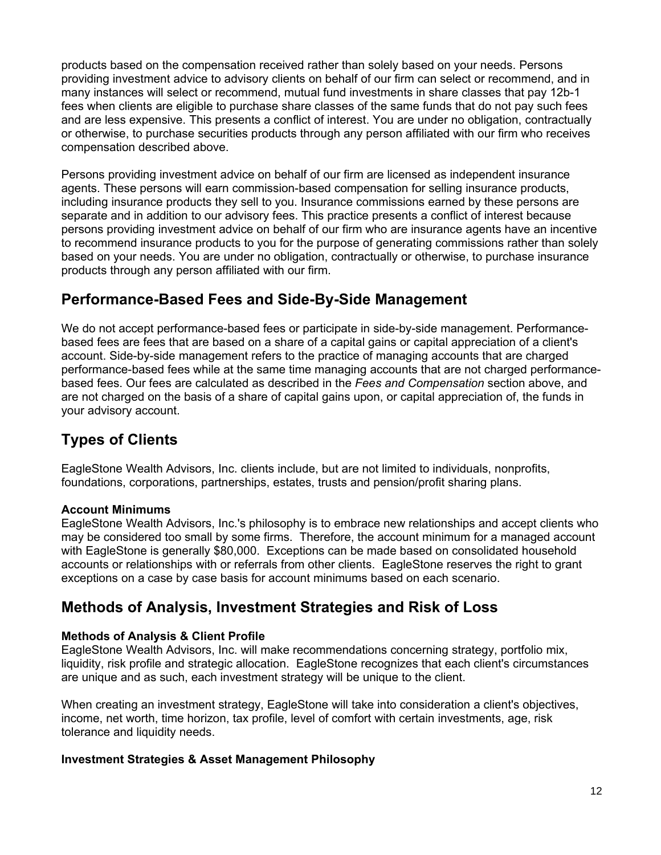products based on the compensation received rather than solely based on your needs. Persons providing investment advice to advisory clients on behalf of our firm can select or recommend, and in many instances will select or recommend, mutual fund investments in share classes that pay 12b-1 fees when clients are eligible to purchase share classes of the same funds that do not pay such fees and are less expensive. This presents a conflict of interest. You are under no obligation, contractually or otherwise, to purchase securities products through any person affiliated with our firm who receives compensation described above.

Persons providing investment advice on behalf of our firm are licensed as independent insurance agents. These persons will earn commission-based compensation for selling insurance products, including insurance products they sell to you. Insurance commissions earned by these persons are separate and in addition to our advisory fees. This practice presents a conflict of interest because persons providing investment advice on behalf of our firm who are insurance agents have an incentive to recommend insurance products to you for the purpose of generating commissions rather than solely based on your needs. You are under no obligation, contractually or otherwise, to purchase insurance products through any person affiliated with our firm.

## **Performance-Based Fees and Side-By-Side Management**

We do not accept performance-based fees or participate in side-by-side management. Performancebased fees are fees that are based on a share of a capital gains or capital appreciation of a client's account. Side-by-side management refers to the practice of managing accounts that are charged performance-based fees while at the same time managing accounts that are not charged performancebased fees. Our fees are calculated as described in the *Fees and Compensation* section above, and are not charged on the basis of a share of capital gains upon, or capital appreciation of, the funds in your advisory account.

# **Types of Clients**

EagleStone Wealth Advisors, Inc. clients include, but are not limited to individuals, nonprofits, foundations, corporations, partnerships, estates, trusts and pension/profit sharing plans.

## **Account Minimums**

EagleStone Wealth Advisors, Inc.'s philosophy is to embrace new relationships and accept clients who may be considered too small by some firms. Therefore, the account minimum for a managed account with EagleStone is generally \$80,000. Exceptions can be made based on consolidated household accounts or relationships with or referrals from other clients. EagleStone reserves the right to grant exceptions on a case by case basis for account minimums based on each scenario.

## **Methods of Analysis, Investment Strategies and Risk of Loss**

## **Methods of Analysis & Client Profile**

EagleStone Wealth Advisors, Inc. will make recommendations concerning strategy, portfolio mix, liquidity, risk profile and strategic allocation. EagleStone recognizes that each client's circumstances are unique and as such, each investment strategy will be unique to the client.

When creating an investment strategy, EagleStone will take into consideration a client's objectives, income, net worth, time horizon, tax profile, level of comfort with certain investments, age, risk tolerance and liquidity needs.

## **Investment Strategies & Asset Management Philosophy**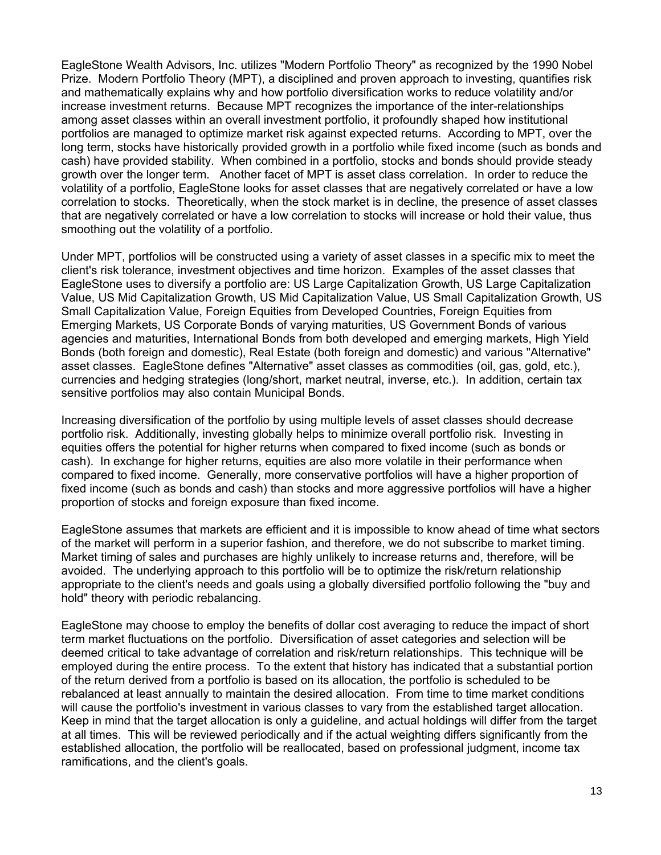EagleStone Wealth Advisors, Inc. utilizes "Modern Portfolio Theory" as recognized by the 1990 Nobel Prize. Modern Portfolio Theory (MPT), a disciplined and proven approach to investing, quantifies risk and mathematically explains why and how portfolio diversification works to reduce volatility and/or increase investment returns. Because MPT recognizes the importance of the inter-relationships among asset classes within an overall investment portfolio, it profoundly shaped how institutional portfolios are managed to optimize market risk against expected returns. According to MPT, over the long term, stocks have historically provided growth in a portfolio while fixed income (such as bonds and cash) have provided stability. When combined in a portfolio, stocks and bonds should provide steady growth over the longer term. Another facet of MPT is asset class correlation. In order to reduce the volatility of a portfolio, EagleStone looks for asset classes that are negatively correlated or have a low correlation to stocks. Theoretically, when the stock market is in decline, the presence of asset classes that are negatively correlated or have a low correlation to stocks will increase or hold their value, thus smoothing out the volatility of a portfolio.

Under MPT, portfolios will be constructed using a variety of asset classes in a specific mix to meet the client's risk tolerance, investment objectives and time horizon. Examples of the asset classes that EagleStone uses to diversify a portfolio are: US Large Capitalization Growth, US Large Capitalization Value, US Mid Capitalization Growth, US Mid Capitalization Value, US Small Capitalization Growth, US Small Capitalization Value, Foreign Equities from Developed Countries, Foreign Equities from Emerging Markets, US Corporate Bonds of varying maturities, US Government Bonds of various agencies and maturities, International Bonds from both developed and emerging markets, High Yield Bonds (both foreign and domestic), Real Estate (both foreign and domestic) and various "Alternative" asset classes. EagleStone defines "Alternative" asset classes as commodities (oil, gas, gold, etc.), currencies and hedging strategies (long/short, market neutral, inverse, etc.). In addition, certain tax sensitive portfolios may also contain Municipal Bonds.

Increasing diversification of the portfolio by using multiple levels of asset classes should decrease portfolio risk. Additionally, investing globally helps to minimize overall portfolio risk. Investing in equities offers the potential for higher returns when compared to fixed income (such as bonds or cash). In exchange for higher returns, equities are also more volatile in their performance when compared to fixed income. Generally, more conservative portfolios will have a higher proportion of fixed income (such as bonds and cash) than stocks and more aggressive portfolios will have a higher proportion of stocks and foreign exposure than fixed income.

EagleStone assumes that markets are efficient and it is impossible to know ahead of time what sectors of the market will perform in a superior fashion, and therefore, we do not subscribe to market timing. Market timing of sales and purchases are highly unlikely to increase returns and, therefore, will be avoided. The underlying approach to this portfolio will be to optimize the risk/return relationship appropriate to the client's needs and goals using a globally diversified portfolio following the "buy and hold" theory with periodic rebalancing.

EagleStone may choose to employ the benefits of dollar cost averaging to reduce the impact of short term market fluctuations on the portfolio. Diversification of asset categories and selection will be deemed critical to take advantage of correlation and risk/return relationships. This technique will be employed during the entire process. To the extent that history has indicated that a substantial portion of the return derived from a portfolio is based on its allocation, the portfolio is scheduled to be rebalanced at least annually to maintain the desired allocation. From time to time market conditions will cause the portfolio's investment in various classes to vary from the established target allocation. Keep in mind that the target allocation is only a guideline, and actual holdings will differ from the target at all times. This will be reviewed periodically and if the actual weighting differs significantly from the established allocation, the portfolio will be reallocated, based on professional judgment, income tax ramifications, and the client's goals.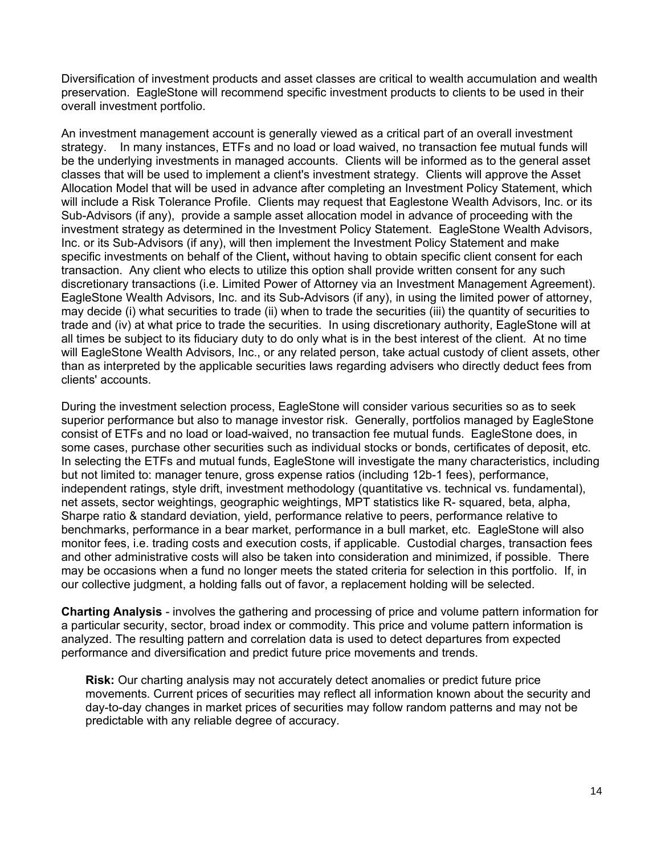Diversification of investment products and asset classes are critical to wealth accumulation and wealth preservation. EagleStone will recommend specific investment products to clients to be used in their overall investment portfolio.

An investment management account is generally viewed as a critical part of an overall investment strategy. In many instances, ETFs and no load or load waived, no transaction fee mutual funds will be the underlying investments in managed accounts. Clients will be informed as to the general asset classes that will be used to implement a client's investment strategy. Clients will approve the Asset Allocation Model that will be used in advance after completing an Investment Policy Statement, which will include a Risk Tolerance Profile. Clients may request that Eaglestone Wealth Advisors, Inc. or its Sub-Advisors (if any), provide a sample asset allocation model in advance of proceeding with the investment strategy as determined in the Investment Policy Statement. EagleStone Wealth Advisors, Inc. or its Sub-Advisors (if any), will then implement the Investment Policy Statement and make specific investments on behalf of the Client**,** without having to obtain specific client consent for each transaction. Any client who elects to utilize this option shall provide written consent for any such discretionary transactions (i.e. Limited Power of Attorney via an Investment Management Agreement). EagleStone Wealth Advisors, Inc. and its Sub-Advisors (if any), in using the limited power of attorney, may decide (i) what securities to trade (ii) when to trade the securities (iii) the quantity of securities to trade and (iv) at what price to trade the securities. In using discretionary authority, EagleStone will at all times be subject to its fiduciary duty to do only what is in the best interest of the client. At no time will EagleStone Wealth Advisors, Inc., or any related person, take actual custody of client assets, other than as interpreted by the applicable securities laws regarding advisers who directly deduct fees from clients' accounts.

During the investment selection process, EagleStone will consider various securities so as to seek superior performance but also to manage investor risk. Generally, portfolios managed by EagleStone consist of ETFs and no load or load-waived, no transaction fee mutual funds. EagleStone does, in some cases, purchase other securities such as individual stocks or bonds, certificates of deposit, etc. In selecting the ETFs and mutual funds, EagleStone will investigate the many characteristics, including but not limited to: manager tenure, gross expense ratios (including 12b-1 fees), performance, independent ratings, style drift, investment methodology (quantitative vs. technical vs. fundamental), net assets, sector weightings, geographic weightings, MPT statistics like R- squared, beta, alpha, Sharpe ratio & standard deviation, yield, performance relative to peers, performance relative to benchmarks, performance in a bear market, performance in a bull market, etc. EagleStone will also monitor fees, i.e. trading costs and execution costs, if applicable. Custodial charges, transaction fees and other administrative costs will also be taken into consideration and minimized, if possible. There may be occasions when a fund no longer meets the stated criteria for selection in this portfolio. If, in our collective judgment, a holding falls out of favor, a replacement holding will be selected.

**Charting Analysis** - involves the gathering and processing of price and volume pattern information for a particular security, sector, broad index or commodity. This price and volume pattern information is analyzed. The resulting pattern and correlation data is used to detect departures from expected performance and diversification and predict future price movements and trends.

**Risk:** Our charting analysis may not accurately detect anomalies or predict future price movements. Current prices of securities may reflect all information known about the security and day-to-day changes in market prices of securities may follow random patterns and may not be predictable with any reliable degree of accuracy.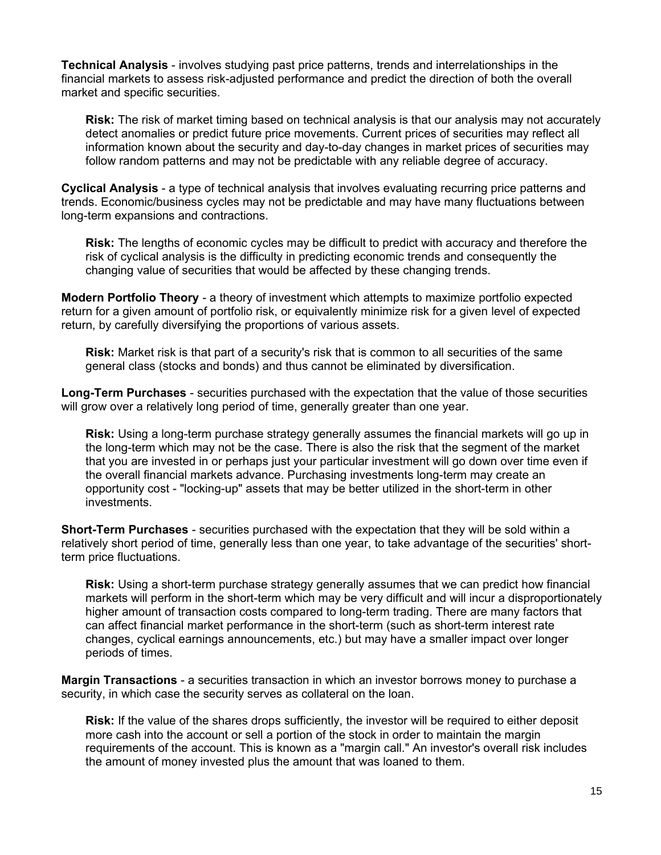**Technical Analysis** - involves studying past price patterns, trends and interrelationships in the financial markets to assess risk-adjusted performance and predict the direction of both the overall market and specific securities.

**Risk:** The risk of market timing based on technical analysis is that our analysis may not accurately detect anomalies or predict future price movements. Current prices of securities may reflect all information known about the security and day-to-day changes in market prices of securities may follow random patterns and may not be predictable with any reliable degree of accuracy.

**Cyclical Analysis** - a type of technical analysis that involves evaluating recurring price patterns and trends. Economic/business cycles may not be predictable and may have many fluctuations between long-term expansions and contractions.

**Risk:** The lengths of economic cycles may be difficult to predict with accuracy and therefore the risk of cyclical analysis is the difficulty in predicting economic trends and consequently the changing value of securities that would be affected by these changing trends.

**Modern Portfolio Theory** - a theory of investment which attempts to maximize portfolio expected return for a given amount of portfolio risk, or equivalently minimize risk for a given level of expected return, by carefully diversifying the proportions of various assets.

**Risk:** Market risk is that part of a security's risk that is common to all securities of the same general class (stocks and bonds) and thus cannot be eliminated by diversification.

**Long-Term Purchases** - securities purchased with the expectation that the value of those securities will grow over a relatively long period of time, generally greater than one year.

**Risk:** Using a long-term purchase strategy generally assumes the financial markets will go up in the long-term which may not be the case. There is also the risk that the segment of the market that you are invested in or perhaps just your particular investment will go down over time even if the overall financial markets advance. Purchasing investments long-term may create an opportunity cost - "locking-up" assets that may be better utilized in the short-term in other investments.

**Short-Term Purchases** - securities purchased with the expectation that they will be sold within a relatively short period of time, generally less than one year, to take advantage of the securities' shortterm price fluctuations.

**Risk:** Using a short-term purchase strategy generally assumes that we can predict how financial markets will perform in the short-term which may be very difficult and will incur a disproportionately higher amount of transaction costs compared to long-term trading. There are many factors that can affect financial market performance in the short-term (such as short-term interest rate changes, cyclical earnings announcements, etc.) but may have a smaller impact over longer periods of times.

**Margin Transactions** - a securities transaction in which an investor borrows money to purchase a security, in which case the security serves as collateral on the loan.

**Risk:** If the value of the shares drops sufficiently, the investor will be required to either deposit more cash into the account or sell a portion of the stock in order to maintain the margin requirements of the account. This is known as a "margin call." An investor's overall risk includes the amount of money invested plus the amount that was loaned to them.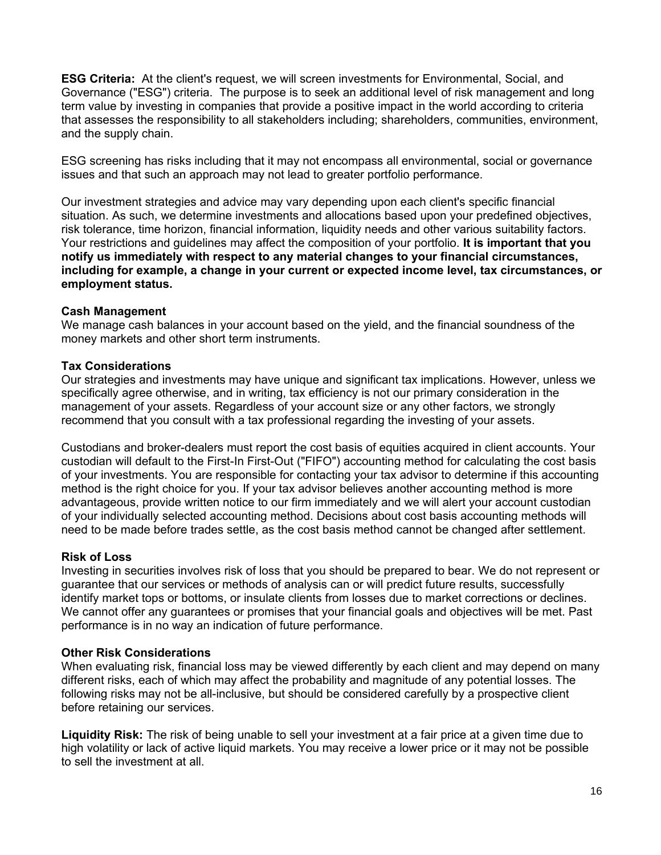**ESG Criteria:** At the client's request, we will screen investments for Environmental, Social, and Governance ("ESG") criteria. The purpose is to seek an additional level of risk management and long term value by investing in companies that provide a positive impact in the world according to criteria that assesses the responsibility to all stakeholders including; shareholders, communities, environment, and the supply chain.

ESG screening has risks including that it may not encompass all environmental, social or governance issues and that such an approach may not lead to greater portfolio performance.

Our investment strategies and advice may vary depending upon each client's specific financial situation. As such, we determine investments and allocations based upon your predefined objectives, risk tolerance, time horizon, financial information, liquidity needs and other various suitability factors. Your restrictions and guidelines may affect the composition of your portfolio. **It is important that you notify us immediately with respect to any material changes to your financial circumstances, including for example, a change in your current or expected income level, tax circumstances, or employment status.**

### **Cash Management**

We manage cash balances in your account based on the yield, and the financial soundness of the money markets and other short term instruments.

#### **Tax Considerations**

Our strategies and investments may have unique and significant tax implications. However, unless we specifically agree otherwise, and in writing, tax efficiency is not our primary consideration in the management of your assets. Regardless of your account size or any other factors, we strongly recommend that you consult with a tax professional regarding the investing of your assets.

Custodians and broker-dealers must report the cost basis of equities acquired in client accounts. Your custodian will default to the First-In First-Out ("FIFO") accounting method for calculating the cost basis of your investments. You are responsible for contacting your tax advisor to determine if this accounting method is the right choice for you. If your tax advisor believes another accounting method is more advantageous, provide written notice to our firm immediately and we will alert your account custodian of your individually selected accounting method. Decisions about cost basis accounting methods will need to be made before trades settle, as the cost basis method cannot be changed after settlement.

#### **Risk of Loss**

Investing in securities involves risk of loss that you should be prepared to bear. We do not represent or guarantee that our services or methods of analysis can or will predict future results, successfully identify market tops or bottoms, or insulate clients from losses due to market corrections or declines. We cannot offer any guarantees or promises that your financial goals and objectives will be met. Past performance is in no way an indication of future performance.

#### **Other Risk Considerations**

When evaluating risk, financial loss may be viewed differently by each client and may depend on many different risks, each of which may affect the probability and magnitude of any potential losses. The following risks may not be all-inclusive, but should be considered carefully by a prospective client before retaining our services.

**Liquidity Risk:** The risk of being unable to sell your investment at a fair price at a given time due to high volatility or lack of active liquid markets. You may receive a lower price or it may not be possible to sell the investment at all.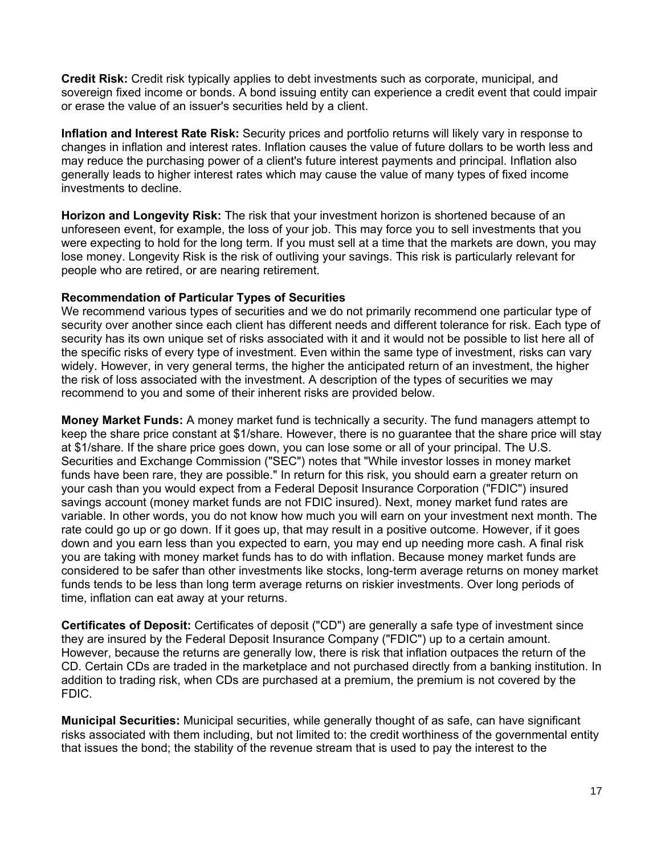**Credit Risk:** Credit risk typically applies to debt investments such as corporate, municipal, and sovereign fixed income or bonds. A bond issuing entity can experience a credit event that could impair or erase the value of an issuer's securities held by a client.

**Inflation and Interest Rate Risk:** Security prices and portfolio returns will likely vary in response to changes in inflation and interest rates. Inflation causes the value of future dollars to be worth less and may reduce the purchasing power of a client's future interest payments and principal. Inflation also generally leads to higher interest rates which may cause the value of many types of fixed income investments to decline.

**Horizon and Longevity Risk:** The risk that your investment horizon is shortened because of an unforeseen event, for example, the loss of your job. This may force you to sell investments that you were expecting to hold for the long term. If you must sell at a time that the markets are down, you may lose money. Longevity Risk is the risk of outliving your savings. This risk is particularly relevant for people who are retired, or are nearing retirement.

### **Recommendation of Particular Types of Securities**

We recommend various types of securities and we do not primarily recommend one particular type of security over another since each client has different needs and different tolerance for risk. Each type of security has its own unique set of risks associated with it and it would not be possible to list here all of the specific risks of every type of investment. Even within the same type of investment, risks can vary widely. However, in very general terms, the higher the anticipated return of an investment, the higher the risk of loss associated with the investment. A description of the types of securities we may recommend to you and some of their inherent risks are provided below.

**Money Market Funds:** A money market fund is technically a security. The fund managers attempt to keep the share price constant at \$1/share. However, there is no guarantee that the share price will stay at \$1/share. If the share price goes down, you can lose some or all of your principal. The U.S. Securities and Exchange Commission ("SEC") notes that "While investor losses in money market funds have been rare, they are possible." In return for this risk, you should earn a greater return on your cash than you would expect from a Federal Deposit Insurance Corporation ("FDIC") insured savings account (money market funds are not FDIC insured). Next, money market fund rates are variable. In other words, you do not know how much you will earn on your investment next month. The rate could go up or go down. If it goes up, that may result in a positive outcome. However, if it goes down and you earn less than you expected to earn, you may end up needing more cash. A final risk you are taking with money market funds has to do with inflation. Because money market funds are considered to be safer than other investments like stocks, long-term average returns on money market funds tends to be less than long term average returns on riskier investments. Over long periods of time, inflation can eat away at your returns.

**Certificates of Deposit:** Certificates of deposit ("CD") are generally a safe type of investment since they are insured by the Federal Deposit Insurance Company ("FDIC") up to a certain amount. However, because the returns are generally low, there is risk that inflation outpaces the return of the CD. Certain CDs are traded in the marketplace and not purchased directly from a banking institution. In addition to trading risk, when CDs are purchased at a premium, the premium is not covered by the FDIC.

**Municipal Securities:** Municipal securities, while generally thought of as safe, can have significant risks associated with them including, but not limited to: the credit worthiness of the governmental entity that issues the bond; the stability of the revenue stream that is used to pay the interest to the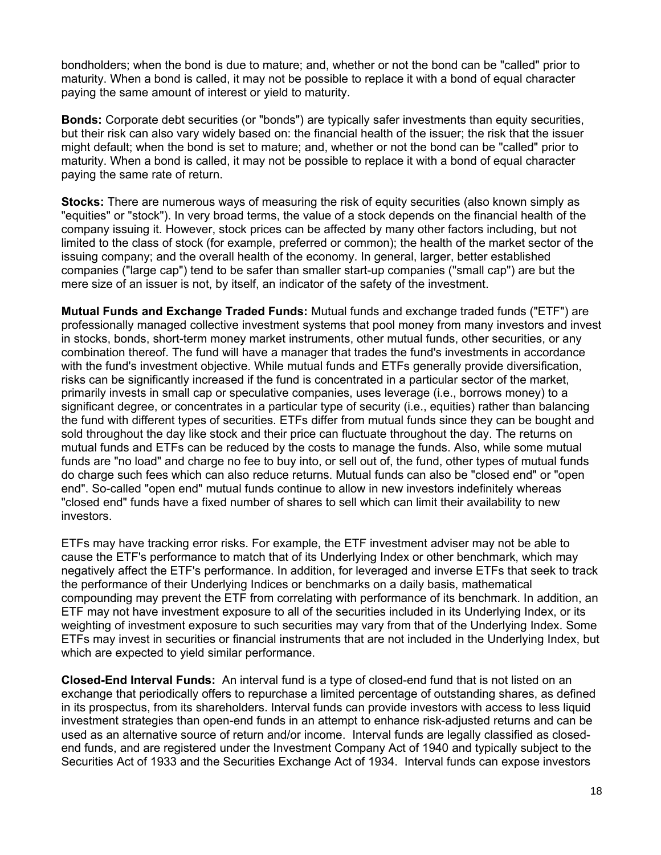bondholders; when the bond is due to mature; and, whether or not the bond can be "called" prior to maturity. When a bond is called, it may not be possible to replace it with a bond of equal character paying the same amount of interest or yield to maturity.

**Bonds:** Corporate debt securities (or "bonds") are typically safer investments than equity securities, but their risk can also vary widely based on: the financial health of the issuer; the risk that the issuer might default; when the bond is set to mature; and, whether or not the bond can be "called" prior to maturity. When a bond is called, it may not be possible to replace it with a bond of equal character paying the same rate of return.

**Stocks:** There are numerous ways of measuring the risk of equity securities (also known simply as "equities" or "stock"). In very broad terms, the value of a stock depends on the financial health of the company issuing it. However, stock prices can be affected by many other factors including, but not limited to the class of stock (for example, preferred or common); the health of the market sector of the issuing company; and the overall health of the economy. In general, larger, better established companies ("large cap") tend to be safer than smaller start-up companies ("small cap") are but the mere size of an issuer is not, by itself, an indicator of the safety of the investment.

**Mutual Funds and Exchange Traded Funds:** Mutual funds and exchange traded funds ("ETF") are professionally managed collective investment systems that pool money from many investors and invest in stocks, bonds, short-term money market instruments, other mutual funds, other securities, or any combination thereof. The fund will have a manager that trades the fund's investments in accordance with the fund's investment objective. While mutual funds and ETFs generally provide diversification, risks can be significantly increased if the fund is concentrated in a particular sector of the market, primarily invests in small cap or speculative companies, uses leverage (i.e., borrows money) to a significant degree, or concentrates in a particular type of security (i.e., equities) rather than balancing the fund with different types of securities. ETFs differ from mutual funds since they can be bought and sold throughout the day like stock and their price can fluctuate throughout the day. The returns on mutual funds and ETFs can be reduced by the costs to manage the funds. Also, while some mutual funds are "no load" and charge no fee to buy into, or sell out of, the fund, other types of mutual funds do charge such fees which can also reduce returns. Mutual funds can also be "closed end" or "open end". So-called "open end" mutual funds continue to allow in new investors indefinitely whereas "closed end" funds have a fixed number of shares to sell which can limit their availability to new investors.

ETFs may have tracking error risks. For example, the ETF investment adviser may not be able to cause the ETF's performance to match that of its Underlying Index or other benchmark, which may negatively affect the ETF's performance. In addition, for leveraged and inverse ETFs that seek to track the performance of their Underlying Indices or benchmarks on a daily basis, mathematical compounding may prevent the ETF from correlating with performance of its benchmark. In addition, an ETF may not have investment exposure to all of the securities included in its Underlying Index, or its weighting of investment exposure to such securities may vary from that of the Underlying Index. Some ETFs may invest in securities or financial instruments that are not included in the Underlying Index, but which are expected to yield similar performance.

**Closed-End Interval Funds:** An interval fund is a type of closed-end fund that is not listed on an exchange that periodically offers to repurchase a limited percentage of outstanding shares, as defined in its prospectus, from its shareholders. Interval funds can provide investors with access to less liquid investment strategies than open-end funds in an attempt to enhance risk-adjusted returns and can be used as an alternative source of return and/or income. Interval funds are legally classified as closedend funds, and are registered under the Investment Company Act of 1940 and typically subject to the Securities Act of 1933 and the Securities Exchange Act of 1934. Interval funds can expose investors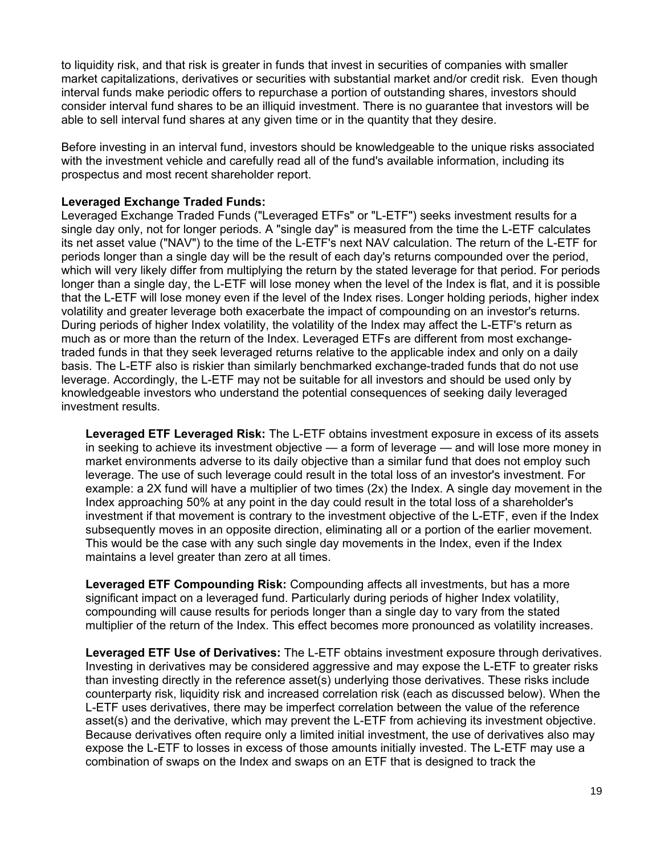to liquidity risk, and that risk is greater in funds that invest in securities of companies with smaller market capitalizations, derivatives or securities with substantial market and/or credit risk. Even though interval funds make periodic offers to repurchase a portion of outstanding shares, investors should consider interval fund shares to be an illiquid investment. There is no guarantee that investors will be able to sell interval fund shares at any given time or in the quantity that they desire.

Before investing in an interval fund, investors should be knowledgeable to the unique risks associated with the investment vehicle and carefully read all of the fund's available information, including its prospectus and most recent shareholder report.

#### **Leveraged Exchange Traded Funds:**

Leveraged Exchange Traded Funds ("Leveraged ETFs" or "L-ETF") seeks investment results for a single day only, not for longer periods. A "single day" is measured from the time the L-ETF calculates its net asset value ("NAV") to the time of the L-ETF's next NAV calculation. The return of the L-ETF for periods longer than a single day will be the result of each day's returns compounded over the period, which will very likely differ from multiplying the return by the stated leverage for that period. For periods longer than a single day, the L-ETF will lose money when the level of the Index is flat, and it is possible that the L-ETF will lose money even if the level of the Index rises. Longer holding periods, higher index volatility and greater leverage both exacerbate the impact of compounding on an investor's returns. During periods of higher Index volatility, the volatility of the Index may affect the L-ETF's return as much as or more than the return of the Index. Leveraged ETFs are different from most exchangetraded funds in that they seek leveraged returns relative to the applicable index and only on a daily basis. The L-ETF also is riskier than similarly benchmarked exchange-traded funds that do not use leverage. Accordingly, the L-ETF may not be suitable for all investors and should be used only by knowledgeable investors who understand the potential consequences of seeking daily leveraged investment results.

**Leveraged ETF Leveraged Risk:** The L-ETF obtains investment exposure in excess of its assets in seeking to achieve its investment objective — a form of leverage — and will lose more money in market environments adverse to its daily objective than a similar fund that does not employ such leverage. The use of such leverage could result in the total loss of an investor's investment. For example: a 2X fund will have a multiplier of two times (2x) the Index. A single day movement in the Index approaching 50% at any point in the day could result in the total loss of a shareholder's investment if that movement is contrary to the investment objective of the L-ETF, even if the Index subsequently moves in an opposite direction, eliminating all or a portion of the earlier movement. This would be the case with any such single day movements in the Index, even if the Index maintains a level greater than zero at all times.

**Leveraged ETF Compounding Risk:** Compounding affects all investments, but has a more significant impact on a leveraged fund. Particularly during periods of higher Index volatility, compounding will cause results for periods longer than a single day to vary from the stated multiplier of the return of the Index. This effect becomes more pronounced as volatility increases.

**Leveraged ETF Use of Derivatives:** The L-ETF obtains investment exposure through derivatives. Investing in derivatives may be considered aggressive and may expose the L-ETF to greater risks than investing directly in the reference asset(s) underlying those derivatives. These risks include counterparty risk, liquidity risk and increased correlation risk (each as discussed below). When the L-ETF uses derivatives, there may be imperfect correlation between the value of the reference asset(s) and the derivative, which may prevent the L-ETF from achieving its investment objective. Because derivatives often require only a limited initial investment, the use of derivatives also may expose the L-ETF to losses in excess of those amounts initially invested. The L-ETF may use a combination of swaps on the Index and swaps on an ETF that is designed to track the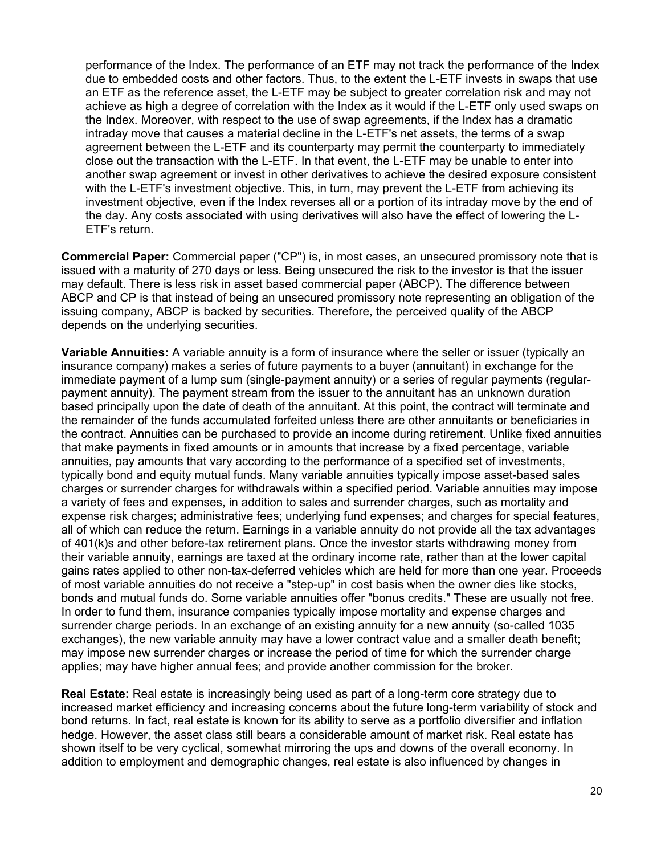performance of the Index. The performance of an ETF may not track the performance of the Index due to embedded costs and other factors. Thus, to the extent the L-ETF invests in swaps that use an ETF as the reference asset, the L-ETF may be subject to greater correlation risk and may not achieve as high a degree of correlation with the Index as it would if the L-ETF only used swaps on the Index. Moreover, with respect to the use of swap agreements, if the Index has a dramatic intraday move that causes a material decline in the L-ETF's net assets, the terms of a swap agreement between the L-ETF and its counterparty may permit the counterparty to immediately close out the transaction with the L-ETF. In that event, the L-ETF may be unable to enter into another swap agreement or invest in other derivatives to achieve the desired exposure consistent with the L-ETF's investment objective. This, in turn, may prevent the L-ETF from achieving its investment objective, even if the Index reverses all or a portion of its intraday move by the end of the day. Any costs associated with using derivatives will also have the effect of lowering the L-ETF's return.

**Commercial Paper:** Commercial paper ("CP") is, in most cases, an unsecured promissory note that is issued with a maturity of 270 days or less. Being unsecured the risk to the investor is that the issuer may default. There is less risk in asset based commercial paper (ABCP). The difference between ABCP and CP is that instead of being an unsecured promissory note representing an obligation of the issuing company, ABCP is backed by securities. Therefore, the perceived quality of the ABCP depends on the underlying securities.

**Variable Annuities:** A variable annuity is a form of insurance where the seller or issuer (typically an insurance company) makes a series of future payments to a buyer (annuitant) in exchange for the immediate payment of a lump sum (single-payment annuity) or a series of regular payments (regularpayment annuity). The payment stream from the issuer to the annuitant has an unknown duration based principally upon the date of death of the annuitant. At this point, the contract will terminate and the remainder of the funds accumulated forfeited unless there are other annuitants or beneficiaries in the contract. Annuities can be purchased to provide an income during retirement. Unlike fixed annuities that make payments in fixed amounts or in amounts that increase by a fixed percentage, variable annuities, pay amounts that vary according to the performance of a specified set of investments, typically bond and equity mutual funds. Many variable annuities typically impose asset-based sales charges or surrender charges for withdrawals within a specified period. Variable annuities may impose a variety of fees and expenses, in addition to sales and surrender charges, such as mortality and expense risk charges; administrative fees; underlying fund expenses; and charges for special features, all of which can reduce the return. Earnings in a variable annuity do not provide all the tax advantages of 401(k)s and other before-tax retirement plans. Once the investor starts withdrawing money from their variable annuity, earnings are taxed at the ordinary income rate, rather than at the lower capital gains rates applied to other non-tax-deferred vehicles which are held for more than one year. Proceeds of most variable annuities do not receive a "step-up" in cost basis when the owner dies like stocks, bonds and mutual funds do. Some variable annuities offer "bonus credits." These are usually not free. In order to fund them, insurance companies typically impose mortality and expense charges and surrender charge periods. In an exchange of an existing annuity for a new annuity (so-called 1035 exchanges), the new variable annuity may have a lower contract value and a smaller death benefit; may impose new surrender charges or increase the period of time for which the surrender charge applies; may have higher annual fees; and provide another commission for the broker.

**Real Estate:** Real estate is increasingly being used as part of a long-term core strategy due to increased market efficiency and increasing concerns about the future long-term variability of stock and bond returns. In fact, real estate is known for its ability to serve as a portfolio diversifier and inflation hedge. However, the asset class still bears a considerable amount of market risk. Real estate has shown itself to be very cyclical, somewhat mirroring the ups and downs of the overall economy. In addition to employment and demographic changes, real estate is also influenced by changes in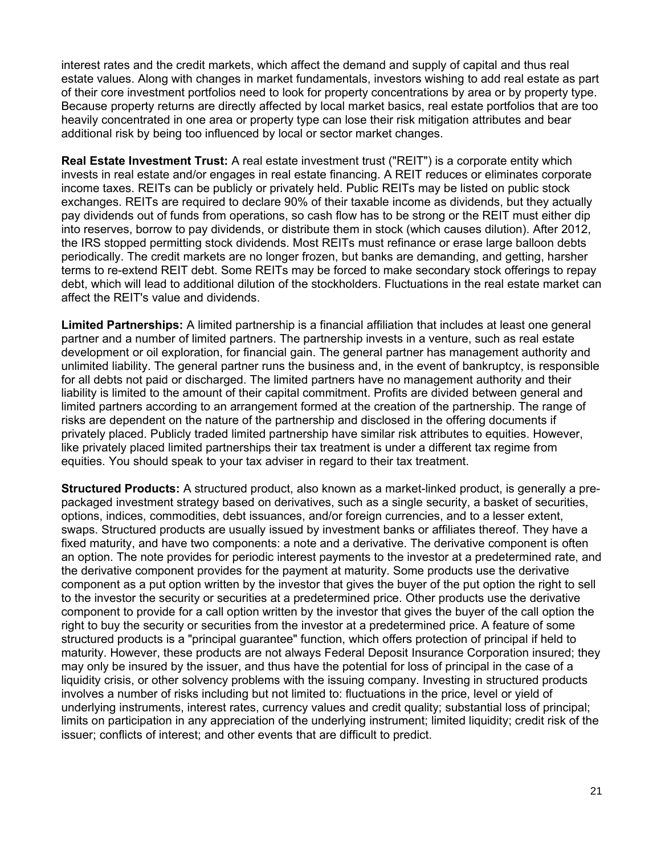interest rates and the credit markets, which affect the demand and supply of capital and thus real estate values. Along with changes in market fundamentals, investors wishing to add real estate as part of their core investment portfolios need to look for property concentrations by area or by property type. Because property returns are directly affected by local market basics, real estate portfolios that are too heavily concentrated in one area or property type can lose their risk mitigation attributes and bear additional risk by being too influenced by local or sector market changes.

**Real Estate Investment Trust:** A real estate investment trust ("REIT") is a corporate entity which invests in real estate and/or engages in real estate financing. A REIT reduces or eliminates corporate income taxes. REITs can be publicly or privately held. Public REITs may be listed on public stock exchanges. REITs are required to declare 90% of their taxable income as dividends, but they actually pay dividends out of funds from operations, so cash flow has to be strong or the REIT must either dip into reserves, borrow to pay dividends, or distribute them in stock (which causes dilution). After 2012, the IRS stopped permitting stock dividends. Most REITs must refinance or erase large balloon debts periodically. The credit markets are no longer frozen, but banks are demanding, and getting, harsher terms to re-extend REIT debt. Some REITs may be forced to make secondary stock offerings to repay debt, which will lead to additional dilution of the stockholders. Fluctuations in the real estate market can affect the REIT's value and dividends.

**Limited Partnerships:** A limited partnership is a financial affiliation that includes at least one general partner and a number of limited partners. The partnership invests in a venture, such as real estate development or oil exploration, for financial gain. The general partner has management authority and unlimited liability. The general partner runs the business and, in the event of bankruptcy, is responsible for all debts not paid or discharged. The limited partners have no management authority and their liability is limited to the amount of their capital commitment. Profits are divided between general and limited partners according to an arrangement formed at the creation of the partnership. The range of risks are dependent on the nature of the partnership and disclosed in the offering documents if privately placed. Publicly traded limited partnership have similar risk attributes to equities. However, like privately placed limited partnerships their tax treatment is under a different tax regime from equities. You should speak to your tax adviser in regard to their tax treatment.

**Structured Products:** A structured product, also known as a market-linked product, is generally a prepackaged investment strategy based on derivatives, such as a single security, a basket of securities, options, indices, commodities, debt issuances, and/or foreign currencies, and to a lesser extent, swaps. Structured products are usually issued by investment banks or affiliates thereof. They have a fixed maturity, and have two components: a note and a derivative. The derivative component is often an option. The note provides for periodic interest payments to the investor at a predetermined rate, and the derivative component provides for the payment at maturity. Some products use the derivative component as a put option written by the investor that gives the buyer of the put option the right to sell to the investor the security or securities at a predetermined price. Other products use the derivative component to provide for a call option written by the investor that gives the buyer of the call option the right to buy the security or securities from the investor at a predetermined price. A feature of some structured products is a "principal guarantee" function, which offers protection of principal if held to maturity. However, these products are not always Federal Deposit Insurance Corporation insured; they may only be insured by the issuer, and thus have the potential for loss of principal in the case of a liquidity crisis, or other solvency problems with the issuing company. Investing in structured products involves a number of risks including but not limited to: fluctuations in the price, level or yield of underlying instruments, interest rates, currency values and credit quality; substantial loss of principal; limits on participation in any appreciation of the underlying instrument; limited liquidity; credit risk of the issuer; conflicts of interest; and other events that are difficult to predict.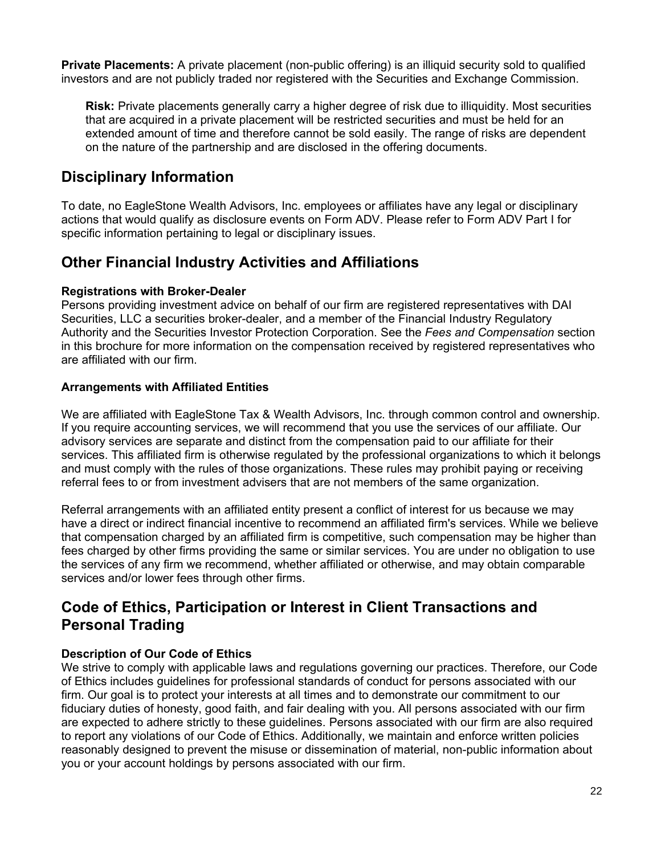**Private Placements:** A private placement (non-public offering) is an illiquid security sold to qualified investors and are not publicly traded nor registered with the Securities and Exchange Commission.

**Risk:** Private placements generally carry a higher degree of risk due to illiquidity. Most securities that are acquired in a private placement will be restricted securities and must be held for an extended amount of time and therefore cannot be sold easily. The range of risks are dependent on the nature of the partnership and are disclosed in the offering documents.

## **Disciplinary Information**

To date, no EagleStone Wealth Advisors, Inc. employees or affiliates have any legal or disciplinary actions that would qualify as disclosure events on Form ADV. Please refer to Form ADV Part I for specific information pertaining to legal or disciplinary issues.

## **Other Financial Industry Activities and Affiliations**

## **Registrations with Broker-Dealer**

Persons providing investment advice on behalf of our firm are registered representatives with DAI Securities, LLC a securities broker-dealer, and a member of the Financial Industry Regulatory Authority and the Securities Investor Protection Corporation. See the *Fees and Compensation* section in this brochure for more information on the compensation received by registered representatives who are affiliated with our firm.

## **Arrangements with Affiliated Entities**

We are affiliated with EagleStone Tax & Wealth Advisors, Inc. through common control and ownership. If you require accounting services, we will recommend that you use the services of our affiliate. Our advisory services are separate and distinct from the compensation paid to our affiliate for their services. This affiliated firm is otherwise regulated by the professional organizations to which it belongs and must comply with the rules of those organizations. These rules may prohibit paying or receiving referral fees to or from investment advisers that are not members of the same organization.

Referral arrangements with an affiliated entity present a conflict of interest for us because we may have a direct or indirect financial incentive to recommend an affiliated firm's services. While we believe that compensation charged by an affiliated firm is competitive, such compensation may be higher than fees charged by other firms providing the same or similar services. You are under no obligation to use the services of any firm we recommend, whether affiliated or otherwise, and may obtain comparable services and/or lower fees through other firms.

## **Code of Ethics, Participation or Interest in Client Transactions and Personal Trading**

## **Description of Our Code of Ethics**

We strive to comply with applicable laws and regulations governing our practices. Therefore, our Code of Ethics includes guidelines for professional standards of conduct for persons associated with our firm. Our goal is to protect your interests at all times and to demonstrate our commitment to our fiduciary duties of honesty, good faith, and fair dealing with you. All persons associated with our firm are expected to adhere strictly to these guidelines. Persons associated with our firm are also required to report any violations of our Code of Ethics. Additionally, we maintain and enforce written policies reasonably designed to prevent the misuse or dissemination of material, non-public information about you or your account holdings by persons associated with our firm.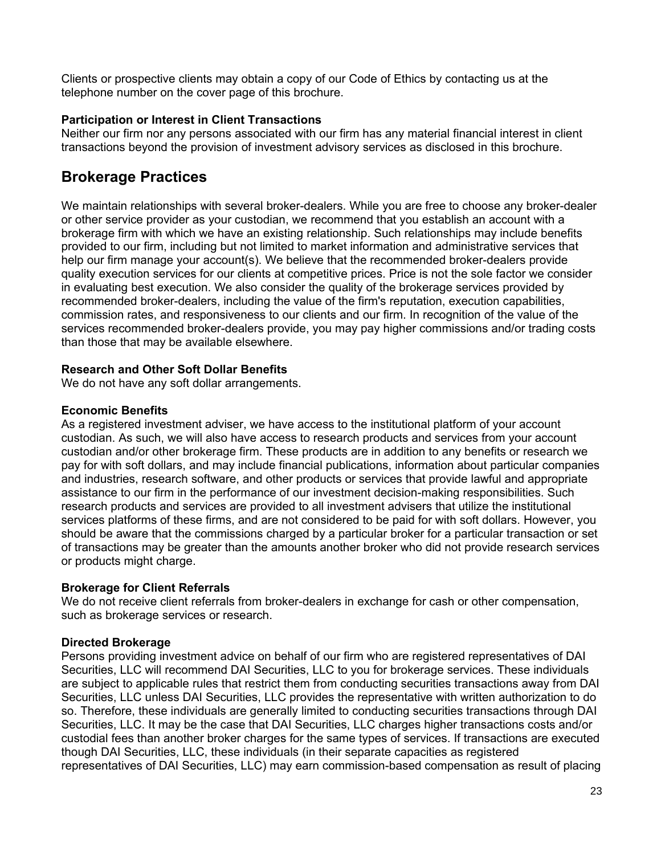Clients or prospective clients may obtain a copy of our Code of Ethics by contacting us at the telephone number on the cover page of this brochure.

## **Participation or Interest in Client Transactions**

Neither our firm nor any persons associated with our firm has any material financial interest in client transactions beyond the provision of investment advisory services as disclosed in this brochure.

## **Brokerage Practices**

We maintain relationships with several broker-dealers. While you are free to choose any broker-dealer or other service provider as your custodian, we recommend that you establish an account with a brokerage firm with which we have an existing relationship. Such relationships may include benefits provided to our firm, including but not limited to market information and administrative services that help our firm manage your account(s). We believe that the recommended broker-dealers provide quality execution services for our clients at competitive prices. Price is not the sole factor we consider in evaluating best execution. We also consider the quality of the brokerage services provided by recommended broker-dealers, including the value of the firm's reputation, execution capabilities, commission rates, and responsiveness to our clients and our firm. In recognition of the value of the services recommended broker-dealers provide, you may pay higher commissions and/or trading costs than those that may be available elsewhere.

## **Research and Other Soft Dollar Benefits**

We do not have any soft dollar arrangements.

### **Economic Benefits**

As a registered investment adviser, we have access to the institutional platform of your account custodian. As such, we will also have access to research products and services from your account custodian and/or other brokerage firm. These products are in addition to any benefits or research we pay for with soft dollars, and may include financial publications, information about particular companies and industries, research software, and other products or services that provide lawful and appropriate assistance to our firm in the performance of our investment decision-making responsibilities. Such research products and services are provided to all investment advisers that utilize the institutional services platforms of these firms, and are not considered to be paid for with soft dollars. However, you should be aware that the commissions charged by a particular broker for a particular transaction or set of transactions may be greater than the amounts another broker who did not provide research services or products might charge.

### **Brokerage for Client Referrals**

We do not receive client referrals from broker-dealers in exchange for cash or other compensation, such as brokerage services or research.

### **Directed Brokerage**

Persons providing investment advice on behalf of our firm who are registered representatives of DAI Securities, LLC will recommend DAI Securities, LLC to you for brokerage services. These individuals are subject to applicable rules that restrict them from conducting securities transactions away from DAI Securities, LLC unless DAI Securities, LLC provides the representative with written authorization to do so. Therefore, these individuals are generally limited to conducting securities transactions through DAI Securities, LLC. It may be the case that DAI Securities, LLC charges higher transactions costs and/or custodial fees than another broker charges for the same types of services. If transactions are executed though DAI Securities, LLC, these individuals (in their separate capacities as registered representatives of DAI Securities, LLC) may earn commission-based compensation as result of placing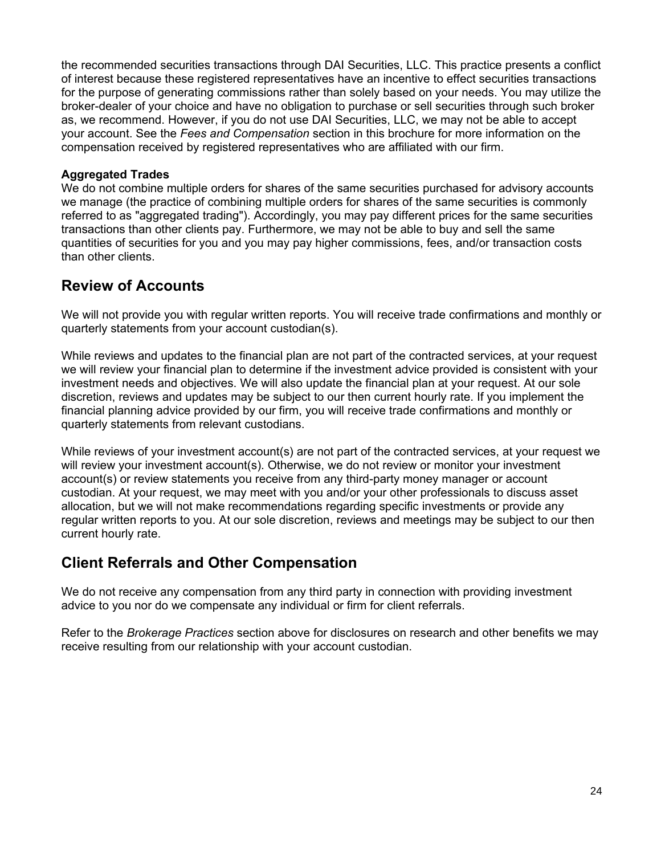the recommended securities transactions through DAI Securities, LLC. This practice presents a conflict of interest because these registered representatives have an incentive to effect securities transactions for the purpose of generating commissions rather than solely based on your needs. You may utilize the broker-dealer of your choice and have no obligation to purchase or sell securities through such broker as, we recommend. However, if you do not use DAI Securities, LLC, we may not be able to accept your account. See the *Fees and Compensation* section in this brochure for more information on the compensation received by registered representatives who are affiliated with our firm.

### **Aggregated Trades**

We do not combine multiple orders for shares of the same securities purchased for advisory accounts we manage (the practice of combining multiple orders for shares of the same securities is commonly referred to as "aggregated trading"). Accordingly, you may pay different prices for the same securities transactions than other clients pay. Furthermore, we may not be able to buy and sell the same quantities of securities for you and you may pay higher commissions, fees, and/or transaction costs than other clients.

## **Review of Accounts**

We will not provide you with regular written reports. You will receive trade confirmations and monthly or quarterly statements from your account custodian(s).

While reviews and updates to the financial plan are not part of the contracted services, at your request we will review your financial plan to determine if the investment advice provided is consistent with your investment needs and objectives. We will also update the financial plan at your request. At our sole discretion, reviews and updates may be subject to our then current hourly rate. If you implement the financial planning advice provided by our firm, you will receive trade confirmations and monthly or quarterly statements from relevant custodians.

While reviews of your investment account(s) are not part of the contracted services, at your request we will review your investment account(s). Otherwise, we do not review or monitor your investment account(s) or review statements you receive from any third-party money manager or account custodian. At your request, we may meet with you and/or your other professionals to discuss asset allocation, but we will not make recommendations regarding specific investments or provide any regular written reports to you. At our sole discretion, reviews and meetings may be subject to our then current hourly rate.

## **Client Referrals and Other Compensation**

We do not receive any compensation from any third party in connection with providing investment advice to you nor do we compensate any individual or firm for client referrals.

Refer to the *Brokerage Practices* section above for disclosures on research and other benefits we may receive resulting from our relationship with your account custodian.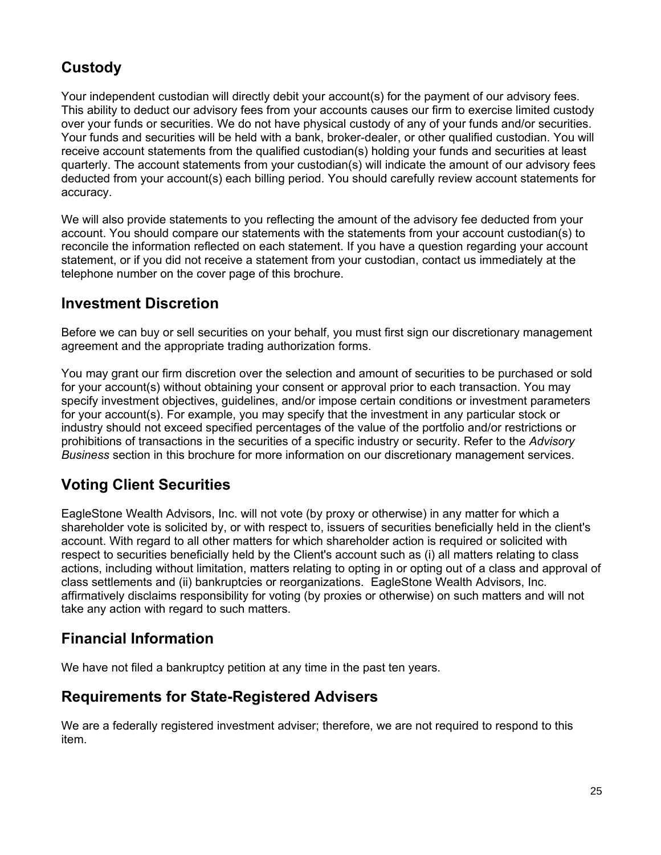# **Custody**

Your independent custodian will directly debit your account(s) for the payment of our advisory fees. This ability to deduct our advisory fees from your accounts causes our firm to exercise limited custody over your funds or securities. We do not have physical custody of any of your funds and/or securities. Your funds and securities will be held with a bank, broker-dealer, or other qualified custodian. You will receive account statements from the qualified custodian(s) holding your funds and securities at least quarterly. The account statements from your custodian(s) will indicate the amount of our advisory fees deducted from your account(s) each billing period. You should carefully review account statements for accuracy.

We will also provide statements to you reflecting the amount of the advisory fee deducted from your account. You should compare our statements with the statements from your account custodian(s) to reconcile the information reflected on each statement. If you have a question regarding your account statement, or if you did not receive a statement from your custodian, contact us immediately at the telephone number on the cover page of this brochure.

## **Investment Discretion**

Before we can buy or sell securities on your behalf, you must first sign our discretionary management agreement and the appropriate trading authorization forms.

You may grant our firm discretion over the selection and amount of securities to be purchased or sold for your account(s) without obtaining your consent or approval prior to each transaction. You may specify investment objectives, guidelines, and/or impose certain conditions or investment parameters for your account(s). For example, you may specify that the investment in any particular stock or industry should not exceed specified percentages of the value of the portfolio and/or restrictions or prohibitions of transactions in the securities of a specific industry or security. Refer to the *Advisory Business* section in this brochure for more information on our discretionary management services.

## **Voting Client Securities**

EagleStone Wealth Advisors, Inc. will not vote (by proxy or otherwise) in any matter for which a shareholder vote is solicited by, or with respect to, issuers of securities beneficially held in the client's account. With regard to all other matters for which shareholder action is required or solicited with respect to securities beneficially held by the Client's account such as (i) all matters relating to class actions, including without limitation, matters relating to opting in or opting out of a class and approval of class settlements and (ii) bankruptcies or reorganizations. EagleStone Wealth Advisors, Inc. affirmatively disclaims responsibility for voting (by proxies or otherwise) on such matters and will not take any action with regard to such matters.

## **Financial Information**

We have not filed a bankruptcy petition at any time in the past ten years.

## **Requirements for State-Registered Advisers**

We are a federally registered investment adviser; therefore, we are not required to respond to this item.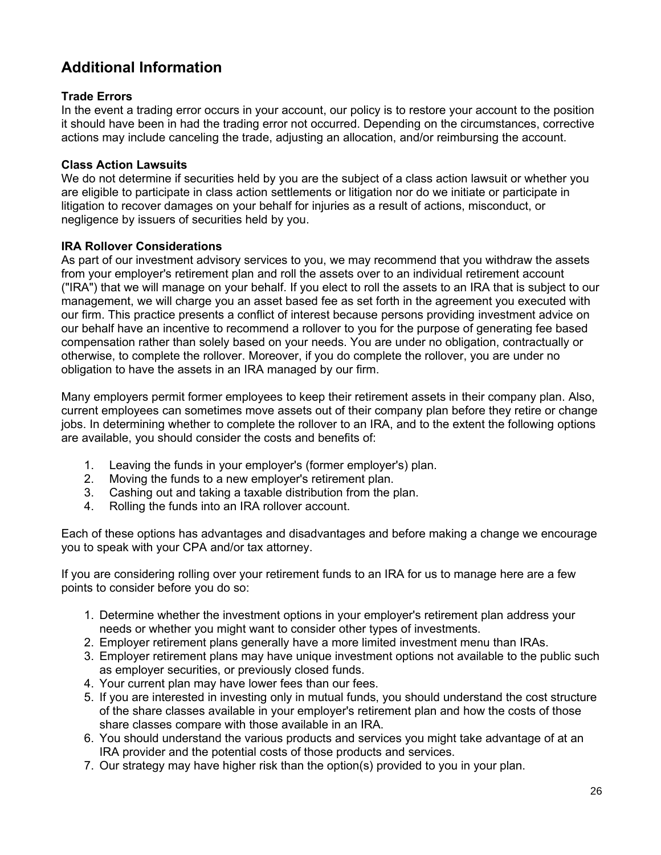# **Additional Information**

## **Trade Errors**

In the event a trading error occurs in your account, our policy is to restore your account to the position it should have been in had the trading error not occurred. Depending on the circumstances, corrective actions may include canceling the trade, adjusting an allocation, and/or reimbursing the account.

### **Class Action Lawsuits**

We do not determine if securities held by you are the subject of a class action lawsuit or whether you are eligible to participate in class action settlements or litigation nor do we initiate or participate in litigation to recover damages on your behalf for injuries as a result of actions, misconduct, or negligence by issuers of securities held by you.

## **IRA Rollover Considerations**

As part of our investment advisory services to you, we may recommend that you withdraw the assets from your employer's retirement plan and roll the assets over to an individual retirement account ("IRA") that we will manage on your behalf. If you elect to roll the assets to an IRA that is subject to our management, we will charge you an asset based fee as set forth in the agreement you executed with our firm. This practice presents a conflict of interest because persons providing investment advice on our behalf have an incentive to recommend a rollover to you for the purpose of generating fee based compensation rather than solely based on your needs. You are under no obligation, contractually or otherwise, to complete the rollover. Moreover, if you do complete the rollover, you are under no obligation to have the assets in an IRA managed by our firm.

Many employers permit former employees to keep their retirement assets in their company plan. Also, current employees can sometimes move assets out of their company plan before they retire or change iobs. In determining whether to complete the rollover to an IRA, and to the extent the following options are available, you should consider the costs and benefits of:

- 1. Leaving the funds in your employer's (former employer's) plan.
- 2. Moving the funds to a new employer's retirement plan.
- 3. Cashing out and taking a taxable distribution from the plan.
- 4. Rolling the funds into an IRA rollover account.

Each of these options has advantages and disadvantages and before making a change we encourage you to speak with your CPA and/or tax attorney.

If you are considering rolling over your retirement funds to an IRA for us to manage here are a few points to consider before you do so:

- 1. Determine whether the investment options in your employer's retirement plan address your needs or whether you might want to consider other types of investments.
- 2. Employer retirement plans generally have a more limited investment menu than IRAs.
- 3. Employer retirement plans may have unique investment options not available to the public such as employer securities, or previously closed funds.
- 4. Your current plan may have lower fees than our fees.
- 5. If you are interested in investing only in mutual funds, you should understand the cost structure of the share classes available in your employer's retirement plan and how the costs of those share classes compare with those available in an IRA.
- 6. You should understand the various products and services you might take advantage of at an IRA provider and the potential costs of those products and services.
- 7. Our strategy may have higher risk than the option(s) provided to you in your plan.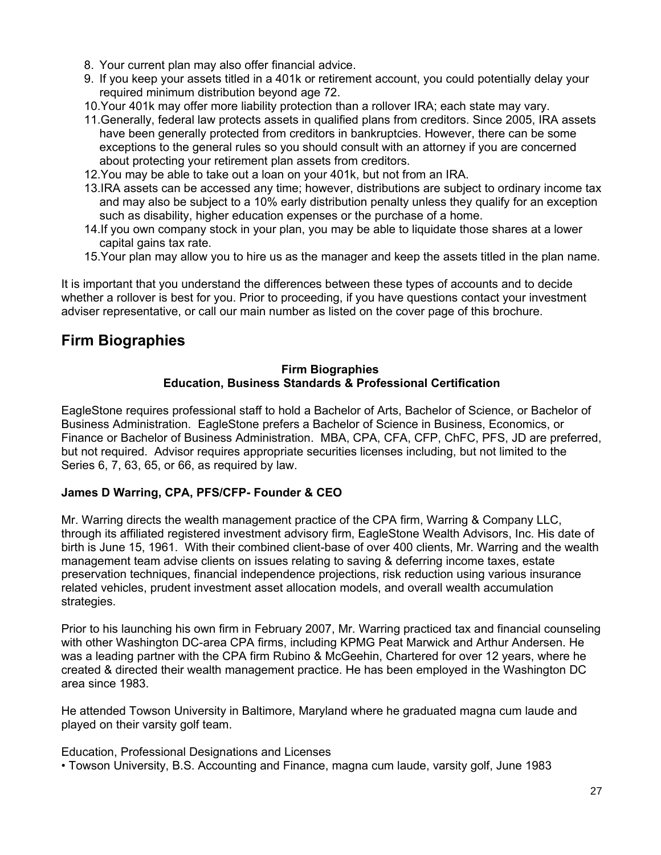- 8. Your current plan may also offer financial advice.
- 9. If you keep your assets titled in a 401k or retirement account, you could potentially delay your required minimum distribution beyond age 72.
- 10.Your 401k may offer more liability protection than a rollover IRA; each state may vary.
- 11.Generally, federal law protects assets in qualified plans from creditors. Since 2005, IRA assets have been generally protected from creditors in bankruptcies. However, there can be some exceptions to the general rules so you should consult with an attorney if you are concerned about protecting your retirement plan assets from creditors.
- 12.You may be able to take out a loan on your 401k, but not from an IRA.
- 13.IRA assets can be accessed any time; however, distributions are subject to ordinary income tax and may also be subject to a 10% early distribution penalty unless they qualify for an exception such as disability, higher education expenses or the purchase of a home.
- 14.If you own company stock in your plan, you may be able to liquidate those shares at a lower capital gains tax rate.
- 15.Your plan may allow you to hire us as the manager and keep the assets titled in the plan name.

It is important that you understand the differences between these types of accounts and to decide whether a rollover is best for you. Prior to proceeding, if you have questions contact your investment adviser representative, or call our main number as listed on the cover page of this brochure.

## **Firm Biographies**

#### **Firm Biographies Education, Business Standards & Professional Certification**

EagleStone requires professional staff to hold a Bachelor of Arts, Bachelor of Science, or Bachelor of Business Administration. EagleStone prefers a Bachelor of Science in Business, Economics, or Finance or Bachelor of Business Administration. MBA, CPA, CFA, CFP, ChFC, PFS, JD are preferred, but not required. Advisor requires appropriate securities licenses including, but not limited to the Series 6, 7, 63, 65, or 66, as required by law.

## **James D Warring, CPA, PFS/CFP- Founder & CEO**

Mr. Warring directs the wealth management practice of the CPA firm, Warring & Company LLC, through its affiliated registered investment advisory firm, EagleStone Wealth Advisors, Inc. His date of birth is June 15, 1961. With their combined client-base of over 400 clients, Mr. Warring and the wealth management team advise clients on issues relating to saving & deferring income taxes, estate preservation techniques, financial independence projections, risk reduction using various insurance related vehicles, prudent investment asset allocation models, and overall wealth accumulation strategies.

Prior to his launching his own firm in February 2007, Mr. Warring practiced tax and financial counseling with other Washington DC-area CPA firms, including KPMG Peat Marwick and Arthur Andersen. He was a leading partner with the CPA firm Rubino & McGeehin, Chartered for over 12 years, where he created & directed their wealth management practice. He has been employed in the Washington DC area since 1983.

He attended Towson University in Baltimore, Maryland where he graduated magna cum laude and played on their varsity golf team.

Education, Professional Designations and Licenses

• Towson University, B.S. Accounting and Finance, magna cum laude, varsity golf, June 1983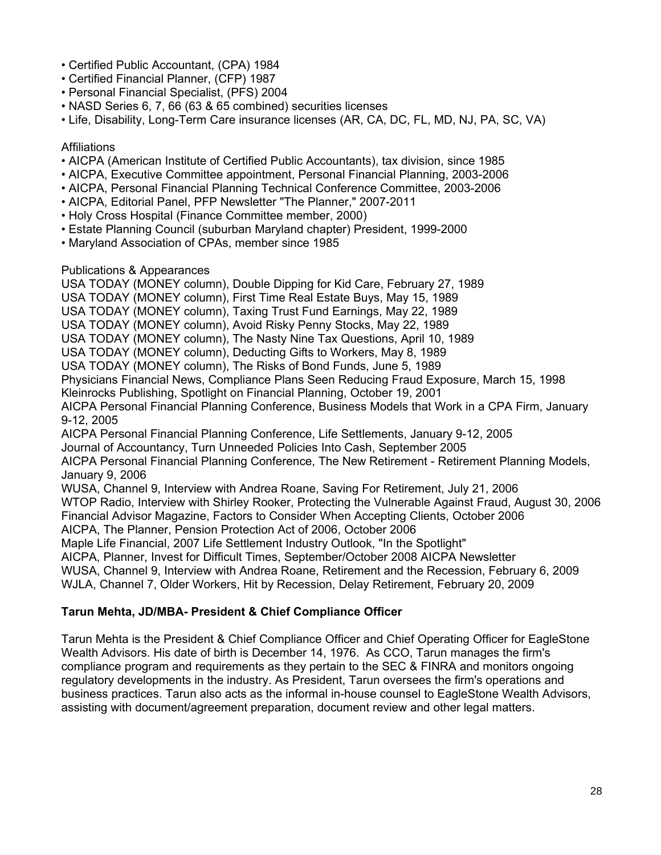- Certified Public Accountant, (CPA) 1984
- Certified Financial Planner, (CFP) 1987
- Personal Financial Specialist, (PFS) 2004
- NASD Series 6, 7, 66 (63 & 65 combined) securities licenses
- Life, Disability, Long-Term Care insurance licenses (AR, CA, DC, FL, MD, NJ, PA, SC, VA)

### Affiliations

- AICPA (American Institute of Certified Public Accountants), tax division, since 1985
- AICPA, Executive Committee appointment, Personal Financial Planning, 2003-2006
- AICPA, Personal Financial Planning Technical Conference Committee, 2003-2006
- AICPA, Editorial Panel, PFP Newsletter "The Planner," 2007-2011
- Holy Cross Hospital (Finance Committee member, 2000)
- Estate Planning Council (suburban Maryland chapter) President, 1999-2000
- Maryland Association of CPAs, member since 1985

## Publications & Appearances

USA TODAY (MONEY column), Double Dipping for Kid Care, February 27, 1989 USA TODAY (MONEY column), First Time Real Estate Buys, May 15, 1989 USA TODAY (MONEY column), Taxing Trust Fund Earnings, May 22, 1989 USA TODAY (MONEY column), Avoid Risky Penny Stocks, May 22, 1989 USA TODAY (MONEY column), The Nasty Nine Tax Questions, April 10, 1989 USA TODAY (MONEY column), Deducting Gifts to Workers, May 8, 1989 USA TODAY (MONEY column), The Risks of Bond Funds, June 5, 1989 Physicians Financial News, Compliance Plans Seen Reducing Fraud Exposure, March 15, 1998 Kleinrocks Publishing, Spotlight on Financial Planning, October 19, 2001 AICPA Personal Financial Planning Conference, Business Models that Work in a CPA Firm, January 9-12, 2005 AICPA Personal Financial Planning Conference, Life Settlements, January 9-12, 2005 Journal of Accountancy, Turn Unneeded Policies Into Cash, September 2005 AICPA Personal Financial Planning Conference, The New Retirement - Retirement Planning Models, January 9, 2006 WUSA, Channel 9, Interview with Andrea Roane, Saving For Retirement, July 21, 2006 WTOP Radio, Interview with Shirley Rooker, Protecting the Vulnerable Against Fraud, August 30, 2006 Financial Advisor Magazine, Factors to Consider When Accepting Clients, October 2006 AICPA, The Planner, Pension Protection Act of 2006, October 2006 Maple Life Financial, 2007 Life Settlement Industry Outlook, "In the Spotlight" AICPA, Planner, Invest for Difficult Times, September/October 2008 AICPA Newsletter WUSA, Channel 9, Interview with Andrea Roane, Retirement and the Recession, February 6, 2009 WJLA, Channel 7, Older Workers, Hit by Recession, Delay Retirement, February 20, 2009

## **Tarun Mehta, JD/MBA- President & Chief Compliance Officer**

Tarun Mehta is the President & Chief Compliance Officer and Chief Operating Officer for EagleStone Wealth Advisors. His date of birth is December 14, 1976. As CCO, Tarun manages the firm's compliance program and requirements as they pertain to the SEC & FINRA and monitors ongoing regulatory developments in the industry. As President, Tarun oversees the firm's operations and business practices. Tarun also acts as the informal in-house counsel to EagleStone Wealth Advisors, assisting with document/agreement preparation, document review and other legal matters.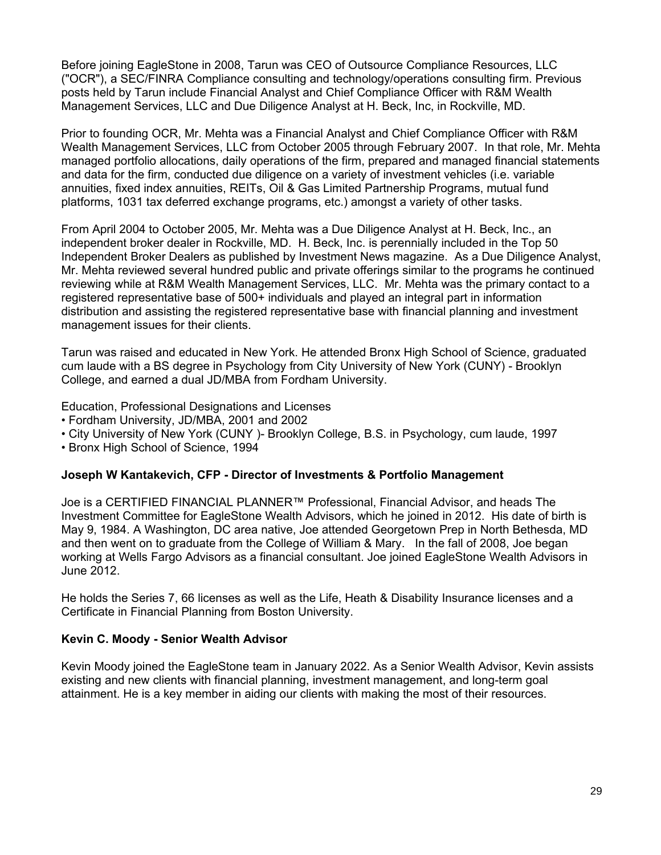Before joining EagleStone in 2008, Tarun was CEO of Outsource Compliance Resources, LLC ("OCR"), a SEC/FINRA Compliance consulting and technology/operations consulting firm. Previous posts held by Tarun include Financial Analyst and Chief Compliance Officer with R&M Wealth Management Services, LLC and Due Diligence Analyst at H. Beck, Inc, in Rockville, MD.

Prior to founding OCR, Mr. Mehta was a Financial Analyst and Chief Compliance Officer with R&M Wealth Management Services, LLC from October 2005 through February 2007. In that role, Mr. Mehta managed portfolio allocations, daily operations of the firm, prepared and managed financial statements and data for the firm, conducted due diligence on a variety of investment vehicles (i.e. variable annuities, fixed index annuities, REITs, Oil & Gas Limited Partnership Programs, mutual fund platforms, 1031 tax deferred exchange programs, etc.) amongst a variety of other tasks.

From April 2004 to October 2005, Mr. Mehta was a Due Diligence Analyst at H. Beck, Inc., an independent broker dealer in Rockville, MD. H. Beck, Inc. is perennially included in the Top 50 Independent Broker Dealers as published by Investment News magazine. As a Due Diligence Analyst, Mr. Mehta reviewed several hundred public and private offerings similar to the programs he continued reviewing while at R&M Wealth Management Services, LLC. Mr. Mehta was the primary contact to a registered representative base of 500+ individuals and played an integral part in information distribution and assisting the registered representative base with financial planning and investment management issues for their clients.

Tarun was raised and educated in New York. He attended Bronx High School of Science, graduated cum laude with a BS degree in Psychology from City University of New York (CUNY) - Brooklyn College, and earned a dual JD/MBA from Fordham University.

Education, Professional Designations and Licenses

- Fordham University, JD/MBA, 2001 and 2002
- City University of New York (CUNY )- Brooklyn College, B.S. in Psychology, cum laude, 1997
- Bronx High School of Science, 1994

### **Joseph W Kantakevich, CFP - Director of Investments & Portfolio Management**

Joe is a CERTIFIED FINANCIAL PLANNER™ Professional, Financial Advisor, and heads The Investment Committee for EagleStone Wealth Advisors, which he joined in 2012. His date of birth is May 9, 1984. A Washington, DC area native, Joe attended Georgetown Prep in North Bethesda, MD and then went on to graduate from the College of William & Mary. In the fall of 2008, Joe began working at Wells Fargo Advisors as a financial consultant. Joe joined EagleStone Wealth Advisors in June 2012.

He holds the Series 7, 66 licenses as well as the Life, Heath & Disability Insurance licenses and a Certificate in Financial Planning from Boston University.

#### **Kevin C. Moody - Senior Wealth Advisor**

Kevin Moody joined the EagleStone team in January 2022. As a Senior Wealth Advisor, Kevin assists existing and new clients with financial planning, investment management, and long-term goal attainment. He is a key member in aiding our clients with making the most of their resources.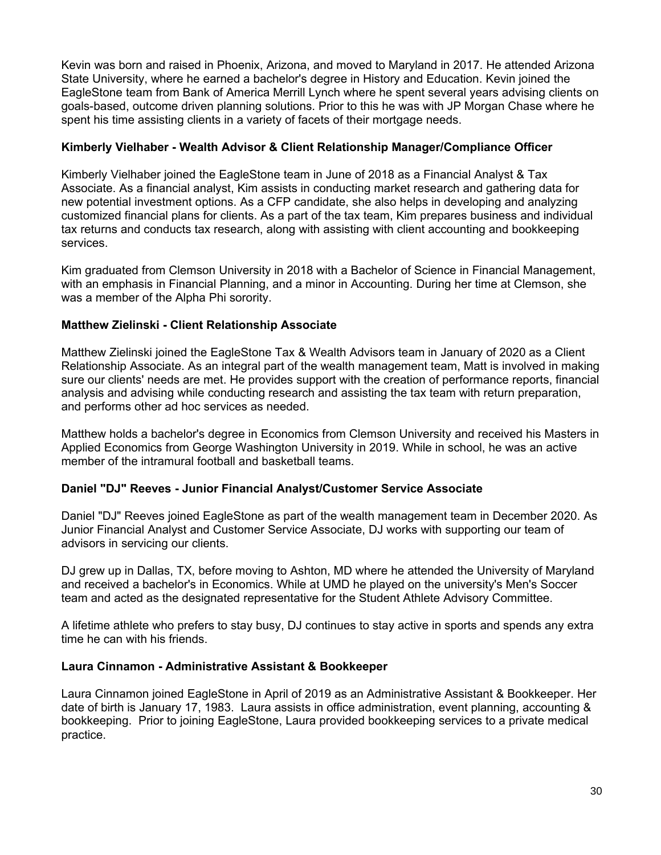Kevin was born and raised in Phoenix, Arizona, and moved to Maryland in 2017. He attended Arizona State University, where he earned a bachelor's degree in History and Education. Kevin joined the EagleStone team from Bank of America Merrill Lynch where he spent several years advising clients on goals-based, outcome driven planning solutions. Prior to this he was with JP Morgan Chase where he spent his time assisting clients in a variety of facets of their mortgage needs.

## **Kimberly Vielhaber - Wealth Advisor & Client Relationship Manager/Compliance Officer**

Kimberly Vielhaber joined the EagleStone team in June of 2018 as a Financial Analyst & Tax Associate. As a financial analyst, Kim assists in conducting market research and gathering data for new potential investment options. As a CFP candidate, she also helps in developing and analyzing customized financial plans for clients. As a part of the tax team, Kim prepares business and individual tax returns and conducts tax research, along with assisting with client accounting and bookkeeping services.

Kim graduated from Clemson University in 2018 with a Bachelor of Science in Financial Management, with an emphasis in Financial Planning, and a minor in Accounting. During her time at Clemson, she was a member of the Alpha Phi sorority.

## **Matthew Zielinski - Client Relationship Associate**

Matthew Zielinski joined the EagleStone Tax & Wealth Advisors team in January of 2020 as a Client Relationship Associate. As an integral part of the wealth management team, Matt is involved in making sure our clients' needs are met. He provides support with the creation of performance reports, financial analysis and advising while conducting research and assisting the tax team with return preparation, and performs other ad hoc services as needed.

Matthew holds a bachelor's degree in Economics from Clemson University and received his Masters in Applied Economics from George Washington University in 2019. While in school, he was an active member of the intramural football and basketball teams.

### **Daniel "DJ" Reeves - Junior Financial Analyst/Customer Service Associate**

Daniel "DJ" Reeves joined EagleStone as part of the wealth management team in December 2020. As Junior Financial Analyst and Customer Service Associate, DJ works with supporting our team of advisors in servicing our clients.

DJ grew up in Dallas, TX, before moving to Ashton, MD where he attended the University of Maryland and received a bachelor's in Economics. While at UMD he played on the university's Men's Soccer team and acted as the designated representative for the Student Athlete Advisory Committee.

A lifetime athlete who prefers to stay busy, DJ continues to stay active in sports and spends any extra time he can with his friends.

### **Laura Cinnamon - Administrative Assistant & Bookkeeper**

Laura Cinnamon joined EagleStone in April of 2019 as an Administrative Assistant & Bookkeeper. Her date of birth is January 17, 1983. Laura assists in office administration, event planning, accounting & bookkeeping. Prior to joining EagleStone, Laura provided bookkeeping services to a private medical practice.